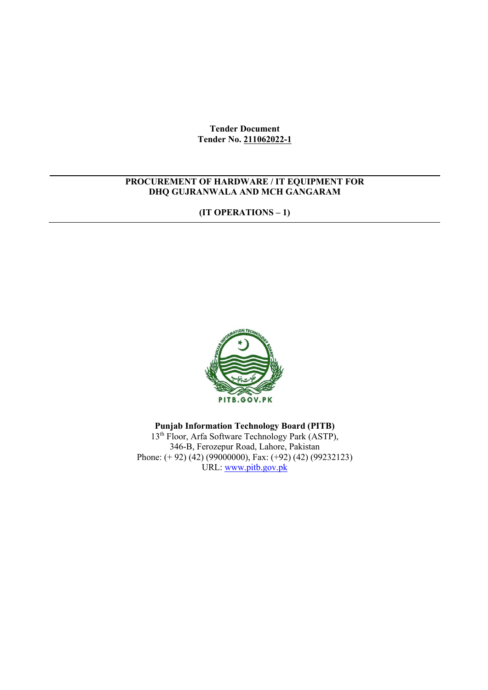**Tender Document Tender No. 211062022-1**

## **PROCUREMENT OF HARDWARE / IT EQUIPMENT FOR DHQ GUJRANWALA AND MCH GANGARAM**

**(IT OPERATIONS – 1)**



## **Punjab Information Technology Board (PITB)**

13<sup>th</sup> Floor, Arfa Software Technology Park (ASTP), 346-B, Ferozepur Road, Lahore, Pakistan Phone: (+92) (42) (99000000), Fax: (+92) (42) (99232123) URL: www.pitb.gov.pk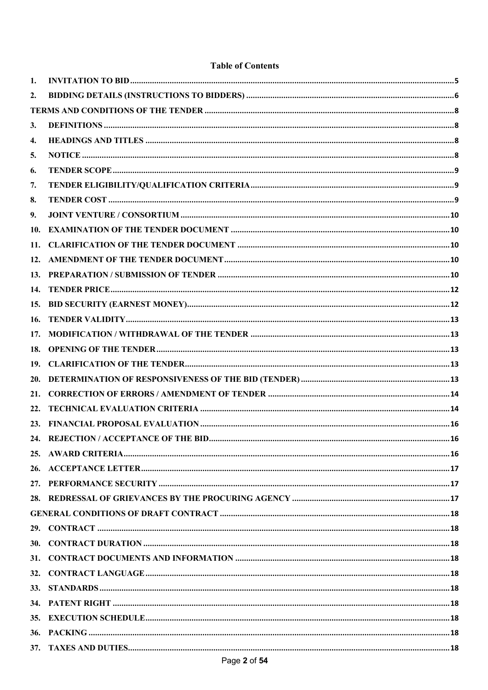### **Table of Contents**

| 1.         |  |
|------------|--|
| 2.         |  |
|            |  |
| 3.         |  |
| 4.         |  |
| 5.         |  |
| 6.         |  |
| 7.         |  |
| 8.         |  |
| 9.         |  |
| 10.        |  |
| 11.        |  |
|            |  |
|            |  |
| <b>14.</b> |  |
|            |  |
| 16.        |  |
| 17.        |  |
| 18.        |  |
|            |  |
|            |  |
| 21.        |  |
| 22.        |  |
|            |  |
|            |  |
|            |  |
|            |  |
|            |  |
|            |  |
|            |  |
|            |  |
|            |  |
|            |  |
| <b>32.</b> |  |
|            |  |
|            |  |
|            |  |
| 36.        |  |
| 37.        |  |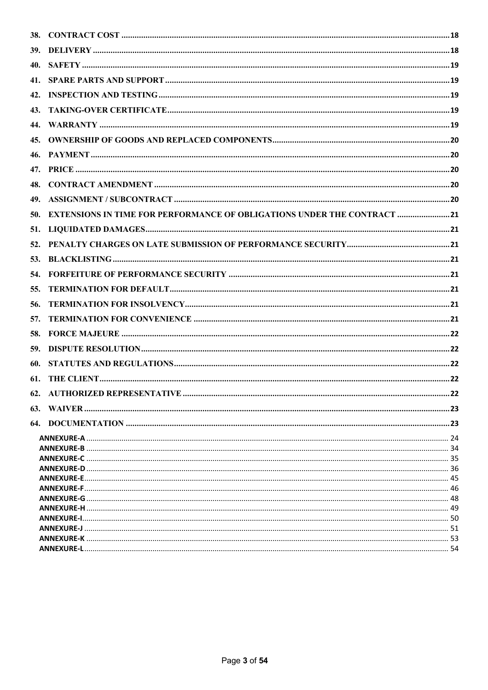| 41. |                                                                         |  |  |  |
|-----|-------------------------------------------------------------------------|--|--|--|
| 42. |                                                                         |  |  |  |
| 43. |                                                                         |  |  |  |
|     |                                                                         |  |  |  |
| 45. |                                                                         |  |  |  |
|     |                                                                         |  |  |  |
|     |                                                                         |  |  |  |
| 48. |                                                                         |  |  |  |
|     |                                                                         |  |  |  |
| 50. | EXTENSIONS IN TIME FOR PERFORMANCE OF OBLIGATIONS UNDER THE CONTRACT 21 |  |  |  |
|     |                                                                         |  |  |  |
| 52. |                                                                         |  |  |  |
|     |                                                                         |  |  |  |
| 54. |                                                                         |  |  |  |
|     |                                                                         |  |  |  |
| 55. |                                                                         |  |  |  |
| 56. |                                                                         |  |  |  |
| 57. |                                                                         |  |  |  |
| 58. |                                                                         |  |  |  |
| 59. |                                                                         |  |  |  |
| 60. |                                                                         |  |  |  |
| 61. |                                                                         |  |  |  |
|     |                                                                         |  |  |  |
|     |                                                                         |  |  |  |
|     |                                                                         |  |  |  |
|     |                                                                         |  |  |  |
|     |                                                                         |  |  |  |
|     |                                                                         |  |  |  |
|     |                                                                         |  |  |  |
|     |                                                                         |  |  |  |
|     |                                                                         |  |  |  |
|     |                                                                         |  |  |  |
|     |                                                                         |  |  |  |
|     |                                                                         |  |  |  |
|     |                                                                         |  |  |  |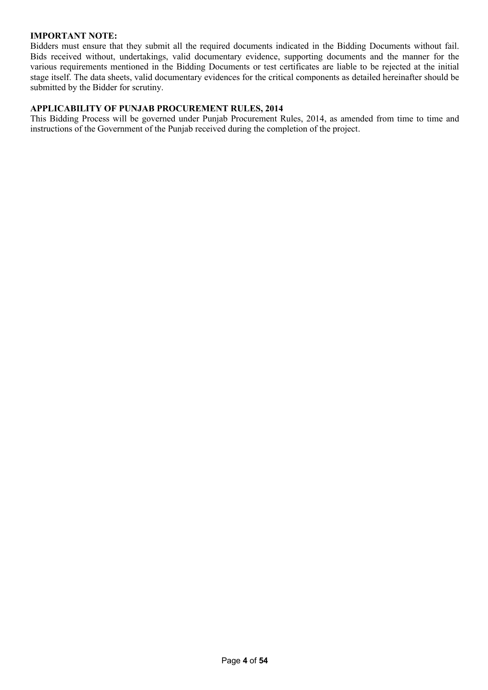### **IMPORTANT NOTE:**

Bidders must ensure that they submit all the required documents indicated in the Bidding Documents without fail. Bids received without, undertakings, valid documentary evidence, supporting documents and the manner for the various requirements mentioned in the Bidding Documents or test certificates are liable to be rejected at the initial stage itself. The data sheets, valid documentary evidences for the critical components as detailed hereinafter should be submitted by the Bidder for scrutiny.

#### **APPLICABILITY OF PUNJAB PROCUREMENT RULES, 2014**

This Bidding Process will be governed under Punjab Procurement Rules, 2014, as amended from time to time and instructions of the Government of the Punjab received during the completion of the project.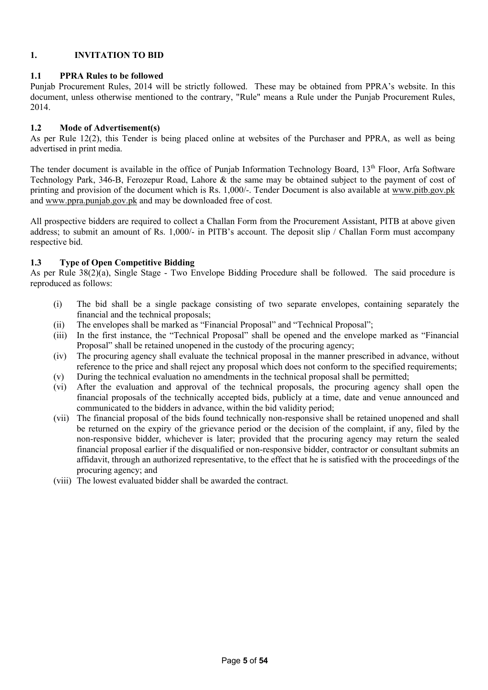## **1. INVITATION TO BID**

#### **1.1 PPRA Rules to be followed**

Punjab Procurement Rules, 2014 will be strictly followed. These may be obtained from PPRA's website. In this document, unless otherwise mentioned to the contrary, "Rule" means a Rule under the Punjab Procurement Rules, 2014.

#### **1.2 Mode of Advertisement(s)**

As per Rule 12(2), this Tender is being placed online at websites of the Purchaser and PPRA, as well as being advertised in print media.

The tender document is available in the office of Punjab Information Technology Board, 13<sup>th</sup> Floor, Arfa Software Technology Park, 346-B, Ferozepur Road, Lahore & the same may be obtained subject to the payment of cost of printing and provision of the document which is Rs. 1,000/-. Tender Document is also available at www.pitb.gov.pk and www.ppra.punjab.gov.pk and may be downloaded free of cost.

All prospective bidders are required to collect a Challan Form from the Procurement Assistant, PITB at above given address; to submit an amount of Rs. 1,000/- in PITB's account. The deposit slip / Challan Form must accompany respective bid.

### **1.3 Type of Open Competitive Bidding**

As per Rule 38(2)(a), Single Stage - Two Envelope Bidding Procedure shall be followed. The said procedure is reproduced as follows:

- (i) The bid shall be a single package consisting of two separate envelopes, containing separately the financial and the technical proposals;
- (ii) The envelopes shall be marked as "Financial Proposal" and "Technical Proposal";
- (iii) In the first instance, the "Technical Proposal" shall be opened and the envelope marked as "Financial Proposal" shall be retained unopened in the custody of the procuring agency;
- (iv) The procuring agency shall evaluate the technical proposal in the manner prescribed in advance, without reference to the price and shall reject any proposal which does not conform to the specified requirements;
- (v) During the technical evaluation no amendments in the technical proposal shall be permitted;
- (vi) After the evaluation and approval of the technical proposals, the procuring agency shall open the financial proposals of the technically accepted bids, publicly at a time, date and venue announced and communicated to the bidders in advance, within the bid validity period;
- (vii) The financial proposal of the bids found technically non-responsive shall be retained unopened and shall be returned on the expiry of the grievance period or the decision of the complaint, if any, filed by the non-responsive bidder, whichever is later; provided that the procuring agency may return the sealed financial proposal earlier if the disqualified or non-responsive bidder, contractor or consultant submits an affidavit, through an authorized representative, to the effect that he is satisfied with the proceedings of the procuring agency; and
- (viii) The lowest evaluated bidder shall be awarded the contract.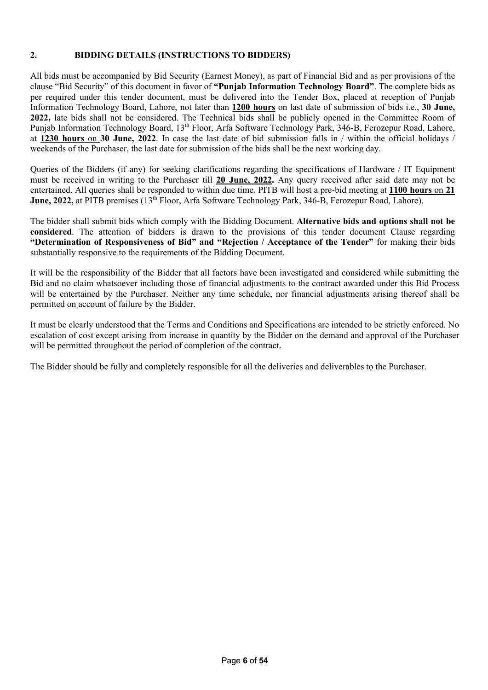## **2. BIDDING DETAILS (INSTRUCTIONS TO BIDDERS)**

All bids must be accompanied by Bid Security (Earnest Money), as part of Financial Bid and as per provisions of the clause "Bid Security" of this document in favor of **"Punjab Information Technology Board"**. The complete bids as per required under this tender document, must be delivered into the Tender Box, placed at reception of Punjab Information Technology Board, Lahore, not later than **1200 hours** on last date of submission of bids i.e., **30 June, 2022,** late bids shall not be considered. The Technical bids shall be publicly opened in the Committee Room of Punjab Information Technology Board, 13<sup>th</sup> Floor, Arfa Software Technology Park, 346-B, Ferozepur Road, Lahore, at **1230 hours** on **30 June, 2022**. In case the last date of bid submission falls in / within the official holidays / weekends of the Purchaser, the last date for submission of the bids shall be the next working day.

Queries of the Bidders (if any) for seeking clarifications regarding the specifications of Hardware / IT Equipment must be received in writing to the Purchaser till **20 June, 2022.** Any query received after said date may not be entertained. All queries shall be responded to within due time. PITB will host a pre-bid meeting at **1100 hours** on **21 June, 2022,** at PITB premises (13<sup>th</sup> Floor, Arfa Software Technology Park, 346-B, Ferozepur Road, Lahore).

The bidder shall submit bids which comply with the Bidding Document. **Alternative bids and options shall not be considered**. The attention of bidders is drawn to the provisions of this tender document Clause regarding **"Determination of Responsiveness of Bid" and "Rejection / Acceptance of the Tender"** for making their bids substantially responsive to the requirements of the Bidding Document.

It will be the responsibility of the Bidder that all factors have been investigated and considered while submitting the Bid and no claim whatsoever including those of financial adjustments to the contract awarded under this Bid Process will be entertained by the Purchaser. Neither any time schedule, nor financial adjustments arising thereof shall be permitted on account of failure by the Bidder.

It must be clearly understood that the Terms and Conditions and Specifications are intended to be strictly enforced. No escalation of cost except arising from increase in quantity by the Bidder on the demand and approval of the Purchaser will be permitted throughout the period of completion of the contract.

The Bidder should be fully and completely responsible for all the deliveries and deliverables to the Purchaser.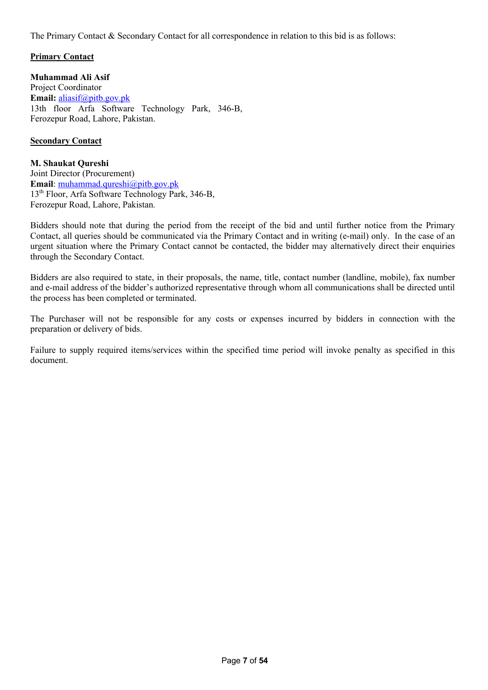The Primary Contact & Secondary Contact for all correspondence in relation to this bid is as follows:

### **Primary Contact**

**Muhammad Ali Asif** Project Coordinator **Email:** aliasif@pitb.gov.pk 13th floor Arfa Software Technology Park, 346-B, Ferozepur Road, Lahore, Pakistan.

#### **Secondary Contact**

**M. Shaukat Qureshi** Joint Director (Procurement) **Email**: muhammad.qureshi@pitb.gov.pk 13th Floor, Arfa Software Technology Park, 346-B, Ferozepur Road, Lahore, Pakistan.

Bidders should note that during the period from the receipt of the bid and until further notice from the Primary Contact, all queries should be communicated via the Primary Contact and in writing (e-mail) only. In the case of an urgent situation where the Primary Contact cannot be contacted, the bidder may alternatively direct their enquiries through the Secondary Contact.

Bidders are also required to state, in their proposals, the name, title, contact number (landline, mobile), fax number and e-mail address of the bidder's authorized representative through whom all communications shall be directed until the process has been completed or terminated.

The Purchaser will not be responsible for any costs or expenses incurred by bidders in connection with the preparation or delivery of bids.

Failure to supply required items/services within the specified time period will invoke penalty as specified in this document.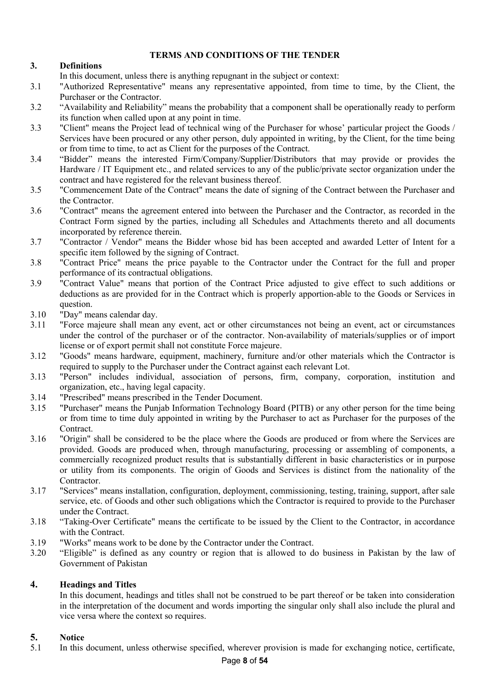## **TERMS AND CONDITIONS OF THE TENDER**

## **3. Definitions**

In this document, unless there is anything repugnant in the subject or context:

- 3.1 "Authorized Representative" means any representative appointed, from time to time, by the Client, the Purchaser or the Contractor.
- 3.2 "Availability and Reliability" means the probability that a component shall be operationally ready to perform its function when called upon at any point in time.
- 3.3 "Client" means the Project lead of technical wing of the Purchaser for whose' particular project the Goods / Services have been procured or any other person, duly appointed in writing, by the Client, for the time being or from time to time, to act as Client for the purposes of the Contract.
- 3.4 "Bidder" means the interested Firm/Company/Supplier/Distributors that may provide or provides the Hardware / IT Equipment etc., and related services to any of the public/private sector organization under the contract and have registered for the relevant business thereof.
- 3.5 "Commencement Date of the Contract" means the date of signing of the Contract between the Purchaser and the Contractor.
- 3.6 "Contract" means the agreement entered into between the Purchaser and the Contractor, as recorded in the Contract Form signed by the parties, including all Schedules and Attachments thereto and all documents incorporated by reference therein.
- 3.7 "Contractor / Vendor" means the Bidder whose bid has been accepted and awarded Letter of Intent for a specific item followed by the signing of Contract.
- 3.8 "Contract Price" means the price payable to the Contractor under the Contract for the full and proper performance of its contractual obligations.
- 3.9 "Contract Value" means that portion of the Contract Price adjusted to give effect to such additions or deductions as are provided for in the Contract which is properly apportion-able to the Goods or Services in question.
- 3.10 "Day" means calendar day.
- 3.11 "Force majeure shall mean any event, act or other circumstances not being an event, act or circumstances under the control of the purchaser or of the contractor. Non-availability of materials/supplies or of import license or of export permit shall not constitute Force majeure.
- 3.12 "Goods" means hardware, equipment, machinery, furniture and/or other materials which the Contractor is required to supply to the Purchaser under the Contract against each relevant Lot.
- 3.13 "Person" includes individual, association of persons, firm, company, corporation, institution and organization, etc., having legal capacity.
- 3.14 "Prescribed" means prescribed in the Tender Document.
- 3.15 "Purchaser" means the Punjab Information Technology Board (PITB) or any other person for the time being or from time to time duly appointed in writing by the Purchaser to act as Purchaser for the purposes of the Contract.
- 3.16 "Origin" shall be considered to be the place where the Goods are produced or from where the Services are provided. Goods are produced when, through manufacturing, processing or assembling of components, a commercially recognized product results that is substantially different in basic characteristics or in purpose or utility from its components. The origin of Goods and Services is distinct from the nationality of the Contractor.
- 3.17 "Services" means installation, configuration, deployment, commissioning, testing, training, support, after sale service, etc. of Goods and other such obligations which the Contractor is required to provide to the Purchaser under the Contract.
- 3.18 "Taking-Over Certificate" means the certificate to be issued by the Client to the Contractor, in accordance with the Contract.
- 3.19 "Works" means work to be done by the Contractor under the Contract.
- 3.20 "Eligible" is defined as any country or region that is allowed to do business in Pakistan by the law of Government of Pakistan

## **4. Headings and Titles**

In this document, headings and titles shall not be construed to be part thereof or be taken into consideration in the interpretation of the document and words importing the singular only shall also include the plural and vice versa where the context so requires.

## **5. Notice**

5.1 In this document, unless otherwise specified, wherever provision is made for exchanging notice, certificate,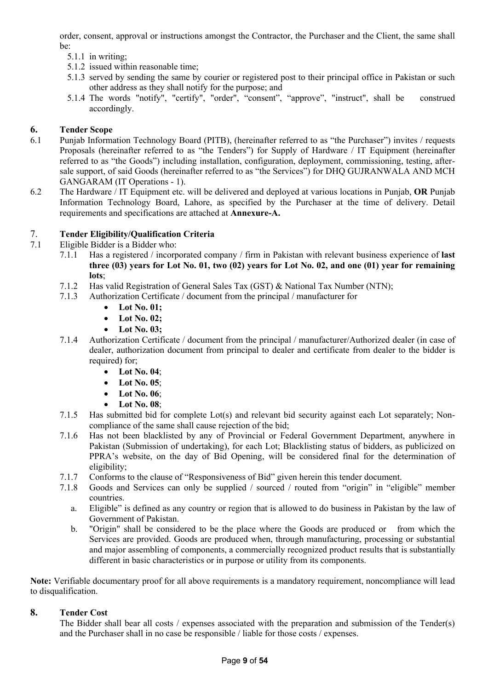order, consent, approval or instructions amongst the Contractor, the Purchaser and the Client, the same shall be:

- 5.1.1 in writing;
- 5.1.2 issued within reasonable time;
- 5.1.3 served by sending the same by courier or registered post to their principal office in Pakistan or such other address as they shall notify for the purpose; and
- 5.1.4 The words "notify", "certify", "order", "consent", "approve", "instruct", shall be construed accordingly.

## **6. Tender Scope**

- 6.1 Punjab Information Technology Board (PITB), (hereinafter referred to as "the Purchaser") invites / requests Proposals (hereinafter referred to as "the Tenders") for Supply of Hardware / IT Equipment (hereinafter referred to as "the Goods") including installation, configuration, deployment, commissioning, testing, aftersale support, of said Goods (hereinafter referred to as "the Services") for DHQ GUJRANWALA AND MCH GANGARAM (IT Operations - 1).
- 6.2 The Hardware / IT Equipment etc. will be delivered and deployed at various locations in Punjab, **OR** Punjab Information Technology Board, Lahore, as specified by the Purchaser at the time of delivery. Detail requirements and specifications are attached at **Annexure-A.**

## 7. **Tender Eligibility/Qualification Criteria**

- 7.1 Eligible Bidder is a Bidder who:
	- 7.1.1 Has a registered / incorporated company / firm in Pakistan with relevant business experience of **last three (03) years for Lot No. 01, two (02) years for Lot No. 02, and one (01) year for remaining lots**;
	- 7.1.2 Has valid Registration of General Sales Tax (GST) & National Tax Number (NTN);
	- 7.1.3 Authorization Certificate / document from the principal / manufacturer for
		- **Lot No. 01;**
		- **Lot No. 02;**
		- **Lot No. 03;**
	- 7.1.4 Authorization Certificate / document from the principal / manufacturer/Authorized dealer (in case of dealer, authorization document from principal to dealer and certificate from dealer to the bidder is required) for;
		- **Lot No. 04**;
		- **Lot No. 05**;
		- **Lot No. 06**;
		- **Lot No. 08**;
	- 7.1.5 Has submitted bid for complete Lot(s) and relevant bid security against each Lot separately; Noncompliance of the same shall cause rejection of the bid;
	- 7.1.6 Has not been blacklisted by any of Provincial or Federal Government Department, anywhere in Pakistan (Submission of undertaking), for each Lot; Blacklisting status of bidders, as publicized on PPRA's website, on the day of Bid Opening, will be considered final for the determination of eligibility;
	- 7.1.7 Conforms to the clause of "Responsiveness of Bid" given herein this tender document.
	- 7.1.8 Goods and Services can only be supplied / sourced / routed from "origin" in "eligible" member countries.
		- a. Eligible" is defined as any country or region that is allowed to do business in Pakistan by the law of Government of Pakistan.
		- b. "Origin" shall be considered to be the place where the Goods are produced or from which the Services are provided. Goods are produced when, through manufacturing, processing or substantial and major assembling of components, a commercially recognized product results that is substantially different in basic characteristics or in purpose or utility from its components.

**Note:** Verifiable documentary proof for all above requirements is a mandatory requirement, noncompliance will lead to disqualification.

## **8. Tender Cost**

The Bidder shall bear all costs / expenses associated with the preparation and submission of the Tender(s) and the Purchaser shall in no case be responsible / liable for those costs / expenses.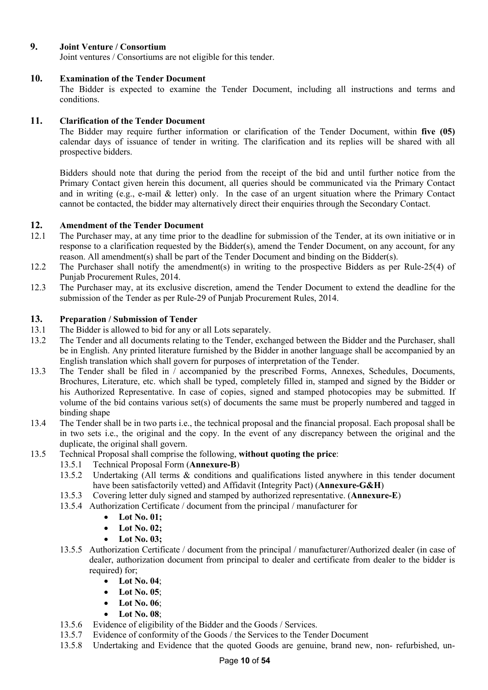## **9. Joint Venture / Consortium**

Joint ventures / Consortiums are not eligible for this tender.

### **10. Examination of the Tender Document**

The Bidder is expected to examine the Tender Document, including all instructions and terms and conditions.

### **11. Clarification of the Tender Document**

The Bidder may require further information or clarification of the Tender Document, within **five (05)** calendar days of issuance of tender in writing. The clarification and its replies will be shared with all prospective bidders.

Bidders should note that during the period from the receipt of the bid and until further notice from the Primary Contact given herein this document, all queries should be communicated via the Primary Contact and in writing (e.g., e-mail & letter) only. In the case of an urgent situation where the Primary Contact cannot be contacted, the bidder may alternatively direct their enquiries through the Secondary Contact.

### **12. Amendment of the Tender Document**

- 12.1 The Purchaser may, at any time prior to the deadline for submission of the Tender, at its own initiative or in response to a clarification requested by the Bidder(s), amend the Tender Document, on any account, for any reason. All amendment(s) shall be part of the Tender Document and binding on the Bidder(s).
- 12.2 The Purchaser shall notify the amendment(s) in writing to the prospective Bidders as per Rule-25(4) of Punjab Procurement Rules, 2014.
- 12.3 The Purchaser may, at its exclusive discretion, amend the Tender Document to extend the deadline for the submission of the Tender as per Rule-29 of Punjab Procurement Rules, 2014.

### **13. Preparation / Submission of Tender**

- 13.1 The Bidder is allowed to bid for any or all Lots separately.
- 13.2 The Tender and all documents relating to the Tender, exchanged between the Bidder and the Purchaser, shall be in English. Any printed literature furnished by the Bidder in another language shall be accompanied by an English translation which shall govern for purposes of interpretation of the Tender.
- 13.3 The Tender shall be filed in / accompanied by the prescribed Forms, Annexes, Schedules, Documents, Brochures, Literature, etc. which shall be typed, completely filled in, stamped and signed by the Bidder or his Authorized Representative. In case of copies, signed and stamped photocopies may be submitted. If volume of the bid contains various set(s) of documents the same must be properly numbered and tagged in binding shape
- 13.4 The Tender shall be in two parts i.e., the technical proposal and the financial proposal. Each proposal shall be in two sets i.e., the original and the copy. In the event of any discrepancy between the original and the duplicate, the original shall govern.
- 13.5 Technical Proposal shall comprise the following, **without quoting the price**:
	- 13.5.1 Technical Proposal Form (**Annexure-B**)
	- 13.5.2 Undertaking (All terms & conditions and qualifications listed anywhere in this tender document have been satisfactorily vetted) and Affidavit (Integrity Pact) (**Annexure-G&H**)
	- 13.5.3 Covering letter duly signed and stamped by authorized representative. (**Annexure-E**)
	- 13.5.4 Authorization Certificate / document from the principal / manufacturer for
		- **Lot No. 01;**
		- **Lot No. 02;**
		- **Lot No. 03;**
	- 13.5.5 Authorization Certificate / document from the principal / manufacturer/Authorized dealer (in case of dealer, authorization document from principal to dealer and certificate from dealer to the bidder is required) for:
		- **Lot No. 04**;
		- **Lot No. 05**;
		- **Lot No. 06**;
		- **Lot No. 08**;
	- 13.5.6 Evidence of eligibility of the Bidder and the Goods / Services.
	- 13.5.7 Evidence of conformity of the Goods / the Services to the Tender Document
	- 13.5.8 Undertaking and Evidence that the quoted Goods are genuine, brand new, non- refurbished, un-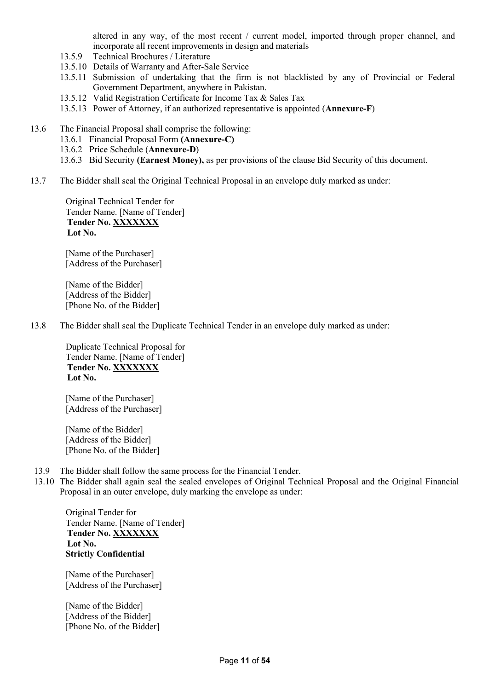altered in any way, of the most recent / current model, imported through proper channel, and incorporate all recent improvements in design and materials

- 13.5.9 Technical Brochures / Literature
- 13.5.10 Details of Warranty and After-Sale Service
- 13.5.11 Submission of undertaking that the firm is not blacklisted by any of Provincial or Federal Government Department, anywhere in Pakistan.
- 13.5.12 Valid Registration Certificate for Income Tax & Sales Tax
- 13.5.13 Power of Attorney, if an authorized representative is appointed (**Annexure-F**)
- 13.6 The Financial Proposal shall comprise the following:
	- 13.6.1 Financial Proposal Form **(Annexure-C)**
	- 13.6.2 Price Schedule (**Annexure-D**)
	- 13.6.3 Bid Security **(Earnest Money),** as per provisions of the clause Bid Security of this document.
- 13.7 The Bidder shall seal the Original Technical Proposal in an envelope duly marked as under:

Original Technical Tender for Tender Name. [Name of Tender] **Tender No. XXXXXXX Lot No.**

[Name of the Purchaser] [Address of the Purchaser]

[Name of the Bidder] [Address of the Bidder] [Phone No. of the Bidder]

13.8 The Bidder shall seal the Duplicate Technical Tender in an envelope duly marked as under:

Duplicate Technical Proposal for Tender Name. [Name of Tender] **Tender No. XXXXXXX Lot No.**

[Name of the Purchaser] [Address of the Purchaser]

[Name of the Bidder] [Address of the Bidder] [Phone No. of the Bidder]

- 13.9 The Bidder shall follow the same process for the Financial Tender.
- 13.10 The Bidder shall again seal the sealed envelopes of Original Technical Proposal and the Original Financial Proposal in an outer envelope, duly marking the envelope as under:

Original Tender for Tender Name. [Name of Tender] **Tender No. XXXXXXX Lot No. Strictly Confidential**

[Name of the Purchaser] [Address of the Purchaser]

[Name of the Bidder] [Address of the Bidder] [Phone No. of the Bidder]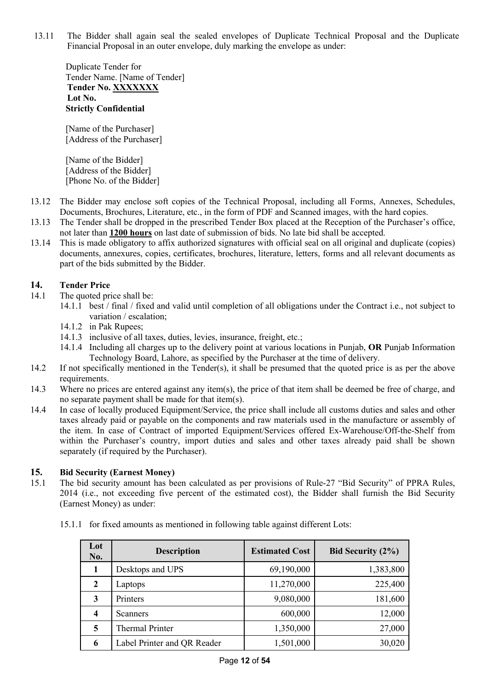13.11 The Bidder shall again seal the sealed envelopes of Duplicate Technical Proposal and the Duplicate Financial Proposal in an outer envelope, duly marking the envelope as under:

Duplicate Tender for Tender Name. [Name of Tender] **Tender No. XXXXXXX Lot No. Strictly Confidential**

[Name of the Purchaser] [Address of the Purchaser]

[Name of the Bidder] [Address of the Bidder] [Phone No. of the Bidder]

- 13.12 The Bidder may enclose soft copies of the Technical Proposal, including all Forms, Annexes, Schedules, Documents, Brochures, Literature, etc., in the form of PDF and Scanned images, with the hard copies.
- 13.13 The Tender shall be dropped in the prescribed Tender Box placed at the Reception of the Purchaser's office, not later than **1200 hours** on last date of submission of bids. No late bid shall be accepted.
- 13.14 This is made obligatory to affix authorized signatures with official seal on all original and duplicate (copies) documents, annexures, copies, certificates, brochures, literature, letters, forms and all relevant documents as part of the bids submitted by the Bidder.

## **14. Tender Price**

- 14.1 The quoted price shall be:
	- 14.1.1 best / final / fixed and valid until completion of all obligations under the Contract i.e., not subject to variation / escalation;
	- 14.1.2 in Pak Rupees;
	- 14.1.3 inclusive of all taxes, duties, levies, insurance, freight, etc.;
	- 14.1.4 Including all charges up to the delivery point at various locations in Punjab, **OR** Punjab Information Technology Board, Lahore, as specified by the Purchaser at the time of delivery.
- 14.2 If not specifically mentioned in the Tender(s), it shall be presumed that the quoted price is as per the above requirements.
- 14.3 Where no prices are entered against any item(s), the price of that item shall be deemed be free of charge, and no separate payment shall be made for that item(s).
- 14.4 In case of locally produced Equipment/Service, the price shall include all customs duties and sales and other taxes already paid or payable on the components and raw materials used in the manufacture or assembly of the item. In case of Contract of imported Equipment/Services offered Ex-Warehouse/Off-the-Shelf from within the Purchaser's country, import duties and sales and other taxes already paid shall be shown separately (if required by the Purchaser).

## **15. Bid Security (Earnest Money)**

15.1 The bid security amount has been calculated as per provisions of Rule-27 "Bid Security" of PPRA Rules, 2014 (i.e., not exceeding five percent of the estimated cost), the Bidder shall furnish the Bid Security (Earnest Money) as under:

|  | 15.1.1 for fixed amounts as mentioned in following table against different Lots: |  |  |  |  |
|--|----------------------------------------------------------------------------------|--|--|--|--|
|--|----------------------------------------------------------------------------------|--|--|--|--|

| Lot<br><b>No.</b> | <b>Description</b>          | <b>Estimated Cost</b> | Bid Security $(2\%)$ |
|-------------------|-----------------------------|-----------------------|----------------------|
|                   | Desktops and UPS            | 69,190,000            | 1,383,800            |
| 2                 | Laptops                     | 11,270,000            | 225,400              |
| 3                 | Printers                    | 9,080,000             | 181,600              |
| 4                 | <b>Scanners</b>             | 600,000               | 12,000               |
| 5                 | <b>Thermal Printer</b>      | 1,350,000             | 27,000               |
| 6                 | Label Printer and QR Reader | 1,501,000             | 30,020               |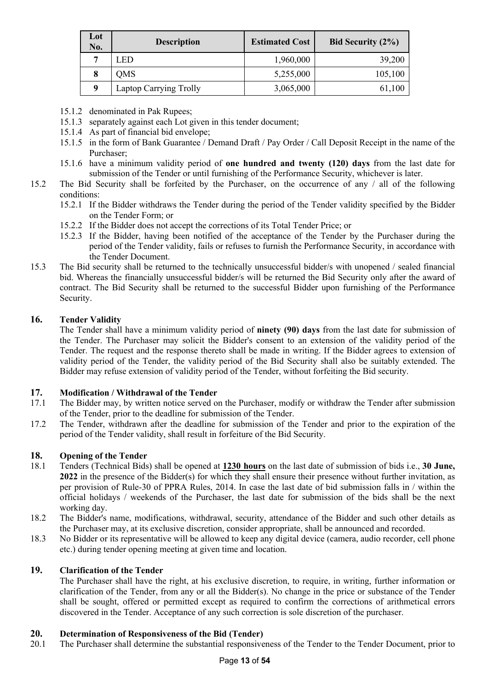| Lot<br>No. | <b>Description</b>     | <b>Estimated Cost</b> | Bid Security $(2\%)$ |
|------------|------------------------|-----------------------|----------------------|
| 7          | LED                    | 1,960,000             | 39,200               |
| 8          | <b>OMS</b>             | 5,255,000             | 105,100              |
| 9          | Laptop Carrying Trolly | 3,065,000             | 61,100               |

- 15.1.2 denominated in Pak Rupees;
- 15.1.3 separately against each Lot given in this tender document;
- 15.1.4 As part of financial bid envelope;
- 15.1.5 in the form of Bank Guarantee / Demand Draft / Pay Order / Call Deposit Receipt in the name of the Purchaser;
- 15.1.6 have a minimum validity period of **one hundred and twenty (120) days** from the last date for submission of the Tender or until furnishing of the Performance Security, whichever is later.
- 15.2 The Bid Security shall be forfeited by the Purchaser, on the occurrence of any / all of the following conditions:
	- 15.2.1 If the Bidder withdraws the Tender during the period of the Tender validity specified by the Bidder on the Tender Form; or
	- 15.2.2 If the Bidder does not accept the corrections of its Total Tender Price; or
	- 15.2.3 If the Bidder, having been notified of the acceptance of the Tender by the Purchaser during the period of the Tender validity, fails or refuses to furnish the Performance Security, in accordance with the Tender Document.
- 15.3 The Bid security shall be returned to the technically unsuccessful bidder/s with unopened / sealed financial bid. Whereas the financially unsuccessful bidder/s will be returned the Bid Security only after the award of contract. The Bid Security shall be returned to the successful Bidder upon furnishing of the Performance Security.

## **16. Tender Validity**

The Tender shall have a minimum validity period of **ninety (90) days** from the last date for submission of the Tender. The Purchaser may solicit the Bidder's consent to an extension of the validity period of the Tender. The request and the response thereto shall be made in writing. If the Bidder agrees to extension of validity period of the Tender, the validity period of the Bid Security shall also be suitably extended. The Bidder may refuse extension of validity period of the Tender, without forfeiting the Bid security.

## **17. Modification / Withdrawal of the Tender**

- 17.1 The Bidder may, by written notice served on the Purchaser, modify or withdraw the Tender after submission of the Tender, prior to the deadline for submission of the Tender.
- 17.2 The Tender, withdrawn after the deadline for submission of the Tender and prior to the expiration of the period of the Tender validity, shall result in forfeiture of the Bid Security.

## **18. Opening of the Tender**

- 18.1 Tenders (Technical Bids) shall be opened at **1230 hours** on the last date of submission of bids i.e., **30 June, 2022** in the presence of the Bidder(s) for which they shall ensure their presence without further invitation, as per provision of Rule-30 of PPRA Rules, 2014. In case the last date of bid submission falls in / within the official holidays / weekends of the Purchaser, the last date for submission of the bids shall be the next working day.
- 18.2 The Bidder's name, modifications, withdrawal, security, attendance of the Bidder and such other details as the Purchaser may, at its exclusive discretion, consider appropriate, shall be announced and recorded.
- 18.3 No Bidder or its representative will be allowed to keep any digital device (camera, audio recorder, cell phone etc.) during tender opening meeting at given time and location.

## **19. Clarification of the Tender**

The Purchaser shall have the right, at his exclusive discretion, to require, in writing, further information or clarification of the Tender, from any or all the Bidder(s). No change in the price or substance of the Tender shall be sought, offered or permitted except as required to confirm the corrections of arithmetical errors discovered in the Tender. Acceptance of any such correction is sole discretion of the purchaser.

## **20. Determination of Responsiveness of the Bid (Tender)**

20.1 The Purchaser shall determine the substantial responsiveness of the Tender to the Tender Document, prior to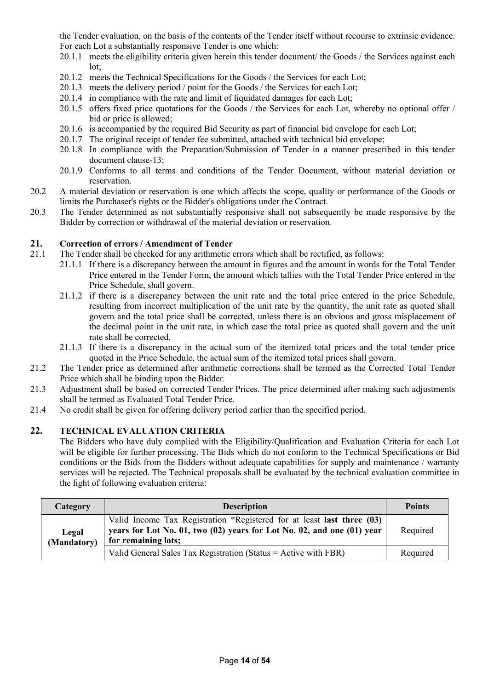the Tender evaluation, on the basis of the contents of the Tender itself without recourse to extrinsic evidence. For each Lot a substantially responsive Tender is one which:

- 20.1.1 meets the eligibility criteria given herein this tender document/ the Goods / the Services against each lot;
- 20.1.2 meets the Technical Specifications for the Goods / the Services for each Lot;
- 20.1.3 meets the delivery period / point for the Goods / the Services for each Lot:
- 20.1.4 in compliance with the rate and limit of liquidated damages for each Lot;
- 20.1.5 offers fixed price quotations for the Goods / the Services for each Lot, whereby no optional offer / bid or price is allowed;
- 20.1.6 is accompanied by the required Bid Security as part of financial bid envelope for each Lot;
- 20.1.7 The original receipt of tender fee submitted, attached with technical bid envelope;
- 20.1.8 In compliance with the Preparation/Submission of Tender in a manner prescribed in this tender document clause-13;
- 20.1.9 Conforms to all terms and conditions of the Tender Document, without material deviation or reservation.
- 20.2 A material deviation or reservation is one which affects the scope, quality or performance of the Goods or limits the Purchaser's rights or the Bidder's obligations under the Contract.
- 20.3 The Tender determined as not substantially responsive shall not subsequently be made responsive by the Bidder by correction or withdrawal of the material deviation or reservation.

### **21. Correction of errors / Amendment of Tender**

- 21.1 The Tender shall be checked for any arithmetic errors which shall be rectified, as follows:
	- 21.1.1 If there is a discrepancy between the amount in figures and the amount in words for the Total Tender Price entered in the Tender Form, the amount which tallies with the Total Tender Price entered in the Price Schedule, shall govern.
	- 21.1.2 if there is a discrepancy between the unit rate and the total price entered in the price Schedule, resulting from incorrect multiplication of the unit rate by the quantity, the unit rate as quoted shall govern and the total price shall be corrected, unless there is an obvious and gross misplacement of the decimal point in the unit rate, in which case the total price as quoted shall govern and the unit rate shall be corrected.
	- 21.1.3 If there is a discrepancy in the actual sum of the itemized total prices and the total tender price quoted in the Price Schedule, the actual sum of the itemized total prices shall govern.
- 21.2 The Tender price as determined after arithmetic corrections shall be termed as the Corrected Total Tender Price which shall be binding upon the Bidder.
- 21.3 Adjustment shall be based on corrected Tender Prices. The price determined after making such adjustments shall be termed as Evaluated Total Tender Price.
- 21.4 No credit shall be given for offering delivery period earlier than the specified period.

## **22. TECHNICAL EVALUATION CRITERIA**

The Bidders who have duly complied with the Eligibility/Qualification and Evaluation Criteria for each Lot will be eligible for further processing. The Bids which do not conform to the Technical Specifications or Bid conditions or the Bids from the Bidders without adequate capabilities for supply and maintenance / warranty services will be rejected. The Technical proposals shall be evaluated by the technical evaluation committee in the light of following evaluation criteria:

| <b>Category</b>      | <b>Description</b>                                                                                                                                                      | <b>Points</b> |
|----------------------|-------------------------------------------------------------------------------------------------------------------------------------------------------------------------|---------------|
| Legal<br>(Mandatory) | Valid Income Tax Registration *Registered for at least last three (03)<br>years for Lot No. 01, two (02) years for Lot No. 02, and one (01) year<br>for remaining lots; | Required      |
|                      | Valid General Sales Tax Registration (Status = Active with FBR)                                                                                                         | Required      |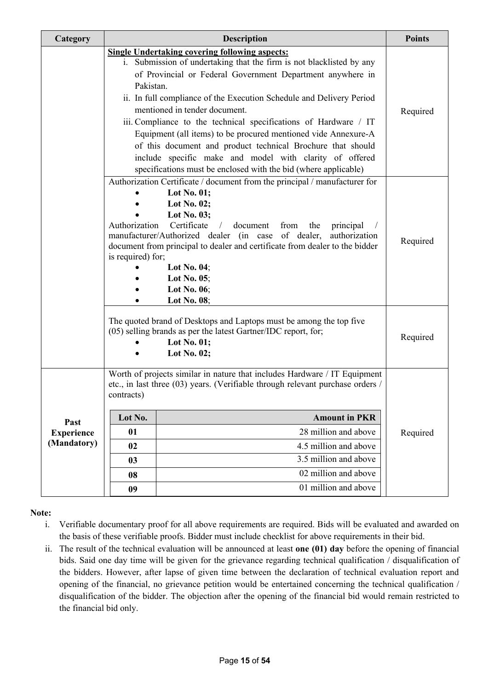| Category                                                                                                                                                                                                                                                                                                                                                                                                                      | <b>Description</b> |                                                                                                                                                                                                                                                                                                                                                                                                                                                                                                                                                                                                                                         |          |
|-------------------------------------------------------------------------------------------------------------------------------------------------------------------------------------------------------------------------------------------------------------------------------------------------------------------------------------------------------------------------------------------------------------------------------|--------------------|-----------------------------------------------------------------------------------------------------------------------------------------------------------------------------------------------------------------------------------------------------------------------------------------------------------------------------------------------------------------------------------------------------------------------------------------------------------------------------------------------------------------------------------------------------------------------------------------------------------------------------------------|----------|
|                                                                                                                                                                                                                                                                                                                                                                                                                               | Pakistan.          | <b>Single Undertaking covering following aspects:</b><br>i. Submission of undertaking that the firm is not blacklisted by any<br>of Provincial or Federal Government Department anywhere in<br>ii. In full compliance of the Execution Schedule and Delivery Period<br>mentioned in tender document.<br>iii. Compliance to the technical specifications of Hardware / IT<br>Equipment (all items) to be procured mentioned vide Annexure-A<br>of this document and product technical Brochure that should<br>include specific make and model with clarity of offered<br>specifications must be enclosed with the bid (where applicable) | Required |
| Authorization Certificate / document from the principal / manufacturer for<br>Lot No. $01$ ;<br>Lot No. 02;<br>Lot No. 03;<br>Authorization<br>Certificate<br>document<br>from<br>the<br>principal<br>manufacturer/Authorized dealer (in case of dealer,<br>authorization<br>document from principal to dealer and certificate from dealer to the bidder<br>is required) for;<br>Lot No. 04;<br>Lot No. $05$ ;<br>Lot No. 06; |                    |                                                                                                                                                                                                                                                                                                                                                                                                                                                                                                                                                                                                                                         | Required |
|                                                                                                                                                                                                                                                                                                                                                                                                                               |                    | Lot No. 08;<br>The quoted brand of Desktops and Laptops must be among the top five<br>(05) selling brands as per the latest Gartner/IDC report, for;<br>Lot No. 01;<br>Lot No. 02;                                                                                                                                                                                                                                                                                                                                                                                                                                                      | Required |
|                                                                                                                                                                                                                                                                                                                                                                                                                               | contracts)         | Worth of projects similar in nature that includes Hardware / IT Equipment<br>etc., in last three (03) years. (Verifiable through relevant purchase orders /                                                                                                                                                                                                                                                                                                                                                                                                                                                                             |          |
| Past                                                                                                                                                                                                                                                                                                                                                                                                                          | Lot No.            | <b>Amount in PKR</b>                                                                                                                                                                                                                                                                                                                                                                                                                                                                                                                                                                                                                    |          |
| <b>Experience</b>                                                                                                                                                                                                                                                                                                                                                                                                             | 01                 | 28 million and above                                                                                                                                                                                                                                                                                                                                                                                                                                                                                                                                                                                                                    | Required |
| (Mandatory)                                                                                                                                                                                                                                                                                                                                                                                                                   | 02                 | 4.5 million and above                                                                                                                                                                                                                                                                                                                                                                                                                                                                                                                                                                                                                   |          |
|                                                                                                                                                                                                                                                                                                                                                                                                                               | 03                 | 3.5 million and above                                                                                                                                                                                                                                                                                                                                                                                                                                                                                                                                                                                                                   |          |
|                                                                                                                                                                                                                                                                                                                                                                                                                               | 08                 | 02 million and above                                                                                                                                                                                                                                                                                                                                                                                                                                                                                                                                                                                                                    |          |
|                                                                                                                                                                                                                                                                                                                                                                                                                               | 09                 | 01 million and above                                                                                                                                                                                                                                                                                                                                                                                                                                                                                                                                                                                                                    |          |

## **Note:**

- i. Verifiable documentary proof for all above requirements are required. Bids will be evaluated and awarded on the basis of these verifiable proofs. Bidder must include checklist for above requirements in their bid.
- ii. The result of the technical evaluation will be announced at least **one (01) day** before the opening of financial bids. Said one day time will be given for the grievance regarding technical qualification / disqualification of the bidders. However, after lapse of given time between the declaration of technical evaluation report and opening of the financial, no grievance petition would be entertained concerning the technical qualification / disqualification of the bidder. The objection after the opening of the financial bid would remain restricted to the financial bid only.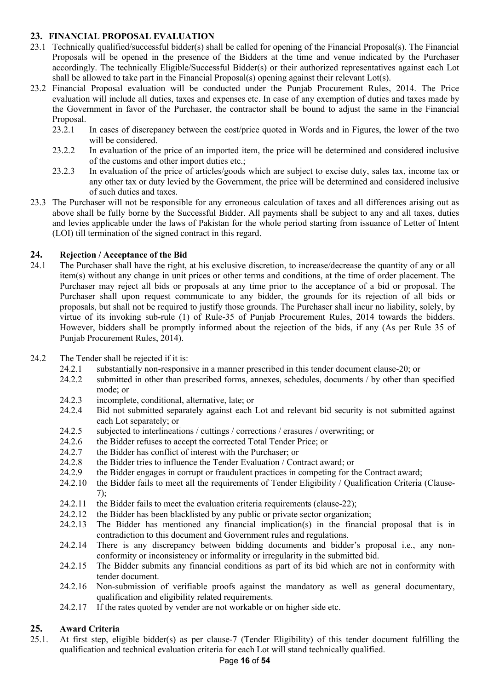## **23. FINANCIAL PROPOSAL EVALUATION**

- 23.1 Technically qualified/successful bidder(s) shall be called for opening of the Financial Proposal(s). The Financial Proposals will be opened in the presence of the Bidders at the time and venue indicated by the Purchaser accordingly. The technically Eligible/Successful Bidder(s) or their authorized representatives against each Lot shall be allowed to take part in the Financial Proposal(s) opening against their relevant Lot(s).
- 23.2 Financial Proposal evaluation will be conducted under the Punjab Procurement Rules, 2014. The Price evaluation will include all duties, taxes and expenses etc. In case of any exemption of duties and taxes made by the Government in favor of the Purchaser, the contractor shall be bound to adjust the same in the Financial Proposal.
	- 23.2.1 In cases of discrepancy between the cost/price quoted in Words and in Figures, the lower of the two will be considered.
	- 23.2.2 In evaluation of the price of an imported item, the price will be determined and considered inclusive of the customs and other import duties etc.;
	- 23.2.3 In evaluation of the price of articles/goods which are subject to excise duty, sales tax, income tax or any other tax or duty levied by the Government, the price will be determined and considered inclusive of such duties and taxes.
- 23.3 The Purchaser will not be responsible for any erroneous calculation of taxes and all differences arising out as above shall be fully borne by the Successful Bidder. All payments shall be subject to any and all taxes, duties and levies applicable under the laws of Pakistan for the whole period starting from issuance of Letter of Intent (LOI) till termination of the signed contract in this regard.

## **24. Rejection / Acceptance of the Bid**

- 24.1 The Purchaser shall have the right, at his exclusive discretion, to increase/decrease the quantity of any or all item(s) without any change in unit prices or other terms and conditions, at the time of order placement. The Purchaser may reject all bids or proposals at any time prior to the acceptance of a bid or proposal. The Purchaser shall upon request communicate to any bidder, the grounds for its rejection of all bids or proposals, but shall not be required to justify those grounds. The Purchaser shall incur no liability, solely, by virtue of its invoking sub-rule (1) of Rule-35 of Punjab Procurement Rules, 2014 towards the bidders. However, bidders shall be promptly informed about the rejection of the bids, if any (As per Rule 35 of Punjab Procurement Rules, 2014).
- 24.2 The Tender shall be rejected if it is:
	- 24.2.1 substantially non-responsive in a manner prescribed in this tender document clause-20; or
	- 24.2.2 submitted in other than prescribed forms, annexes, schedules, documents / by other than specified mode; or
	- 24.2.3 incomplete, conditional, alternative, late; or
	- 24.2.4 Bid not submitted separately against each Lot and relevant bid security is not submitted against each Lot separately; or
	- 24.2.5 subjected to interlineations / cuttings / corrections / erasures / overwriting; or
	- 24.2.6 the Bidder refuses to accept the corrected Total Tender Price; or
	- 24.2.7 the Bidder has conflict of interest with the Purchaser; or
	- 24.2.8 the Bidder tries to influence the Tender Evaluation / Contract award; or
	- 24.2.9 the Bidder engages in corrupt or fraudulent practices in competing for the Contract award;
	- 24.2.10 the Bidder fails to meet all the requirements of Tender Eligibility / Qualification Criteria (Clause-7);
	- 24.2.11 the Bidder fails to meet the evaluation criteria requirements (clause-22);
	- 24.2.12 the Bidder has been blacklisted by any public or private sector organization;
	- 24.2.13 The Bidder has mentioned any financial implication(s) in the financial proposal that is in contradiction to this document and Government rules and regulations.
	- 24.2.14 There is any discrepancy between bidding documents and bidder's proposal i.e., any nonconformity or inconsistency or informality or irregularity in the submitted bid.
	- 24.2.15 The Bidder submits any financial conditions as part of its bid which are not in conformity with tender document.
	- 24.2.16 Non-submission of verifiable proofs against the mandatory as well as general documentary, qualification and eligibility related requirements.
	- 24.2.17 If the rates quoted by vender are not workable or on higher side etc.

## **25. Award Criteria**

25.1. At first step, eligible bidder(s) as per clause-7 (Tender Eligibility) of this tender document fulfilling the qualification and technical evaluation criteria for each Lot will stand technically qualified.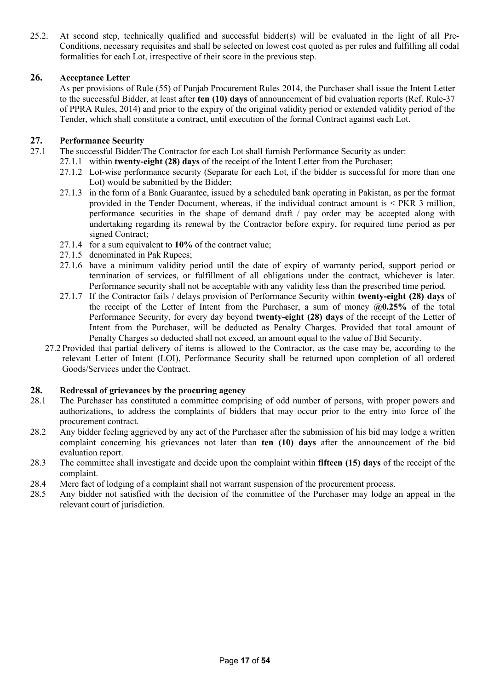25.2. At second step, technically qualified and successful bidder(s) will be evaluated in the light of all Pre-Conditions, necessary requisites and shall be selected on lowest cost quoted as per rules and fulfilling all codal formalities for each Lot, irrespective of their score in the previous step.

### **26. Acceptance Letter**

As per provisions of Rule (55) of Punjab Procurement Rules 2014, the Purchaser shall issue the Intent Letter to the successful Bidder, at least after **ten (10) days** of announcement of bid evaluation reports (Ref. Rule-37 of PPRA Rules, 2014) and prior to the expiry of the original validity period or extended validity period of the Tender, which shall constitute a contract, until execution of the formal Contract against each Lot.

### **27. Performance Security**

- 27.1 The successful Bidder/The Contractor for each Lot shall furnish Performance Security as under:
	- 27.1.1 within **twenty-eight (28) days** of the receipt of the Intent Letter from the Purchaser;
		- 27.1.2 Lot-wise performance security (Separate for each Lot, if the bidder is successful for more than one Lot) would be submitted by the Bidder;
		- 27.1.3 in the form of a Bank Guarantee, issued by a scheduled bank operating in Pakistan, as per the format provided in the Tender Document, whereas, if the individual contract amount is < PKR 3 million, performance securities in the shape of demand draft / pay order may be accepted along with undertaking regarding its renewal by the Contractor before expiry, for required time period as per signed Contract;
		- 27.1.4 for a sum equivalent to **10%** of the contract value;
		- 27.1.5 denominated in Pak Rupees;
		- 27.1.6 have a minimum validity period until the date of expiry of warranty period, support period or termination of services, or fulfillment of all obligations under the contract, whichever is later. Performance security shall not be acceptable with any validity less than the prescribed time period.
		- 27.1.7 If the Contractor fails / delays provision of Performance Security within **twenty-eight (28) days** of the receipt of the Letter of Intent from the Purchaser, a sum of money **@0.25%** of the total Performance Security, for every day beyond **twenty-eight (28) days** of the receipt of the Letter of Intent from the Purchaser, will be deducted as Penalty Charges. Provided that total amount of Penalty Charges so deducted shall not exceed, an amount equal to the value of Bid Security.
	- 27.2 Provided that partial delivery of items is allowed to the Contractor, as the case may be, according to the relevant Letter of Intent (LOI), Performance Security shall be returned upon completion of all ordered Goods/Services under the Contract.

#### **28. Redressal of grievances by the procuring agency**

- 28.1 The Purchaser has constituted a committee comprising of odd number of persons, with proper powers and authorizations, to address the complaints of bidders that may occur prior to the entry into force of the procurement contract.
- 28.2 Any bidder feeling aggrieved by any act of the Purchaser after the submission of his bid may lodge a written complaint concerning his grievances not later than **ten (10) days** after the announcement of the bid evaluation report.
- 28.3 The committee shall investigate and decide upon the complaint within **fifteen (15) days** of the receipt of the complaint.
- 28.4 Mere fact of lodging of a complaint shall not warrant suspension of the procurement process.
- 28.5 Any bidder not satisfied with the decision of the committee of the Purchaser may lodge an appeal in the relevant court of jurisdiction.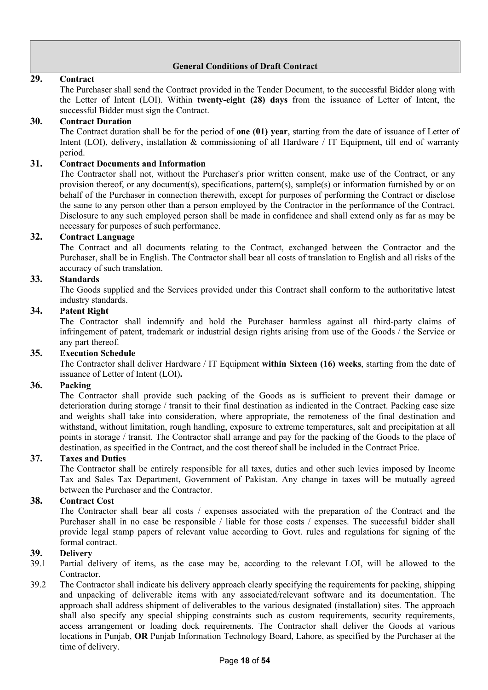## **General Conditions of Draft Contract**

### **29. Contract**

The Purchaser shall send the Contract provided in the Tender Document, to the successful Bidder along with the Letter of Intent (LOI). Within **twenty-eight (28) days** from the issuance of Letter of Intent, the successful Bidder must sign the Contract.

### **30. Contract Duration**

The Contract duration shall be for the period of **one (01) year**, starting from the date of issuance of Letter of Intent (LOI), delivery, installation & commissioning of all Hardware / IT Equipment, till end of warranty period.

### **31. Contract Documents and Information**

The Contractor shall not, without the Purchaser's prior written consent, make use of the Contract, or any provision thereof, or any document(s), specifications, pattern(s), sample(s) or information furnished by or on behalf of the Purchaser in connection therewith, except for purposes of performing the Contract or disclose the same to any person other than a person employed by the Contractor in the performance of the Contract. Disclosure to any such employed person shall be made in confidence and shall extend only as far as may be necessary for purposes of such performance.

#### **32. Contract Language**

The Contract and all documents relating to the Contract, exchanged between the Contractor and the Purchaser, shall be in English. The Contractor shall bear all costs of translation to English and all risks of the accuracy of such translation.

### **33. Standards**

The Goods supplied and the Services provided under this Contract shall conform to the authoritative latest industry standards.

### **34. Patent Right**

The Contractor shall indemnify and hold the Purchaser harmless against all third-party claims of infringement of patent, trademark or industrial design rights arising from use of the Goods / the Service or any part thereof.

#### **35. Execution Schedule**

The Contractor shall deliver Hardware / IT Equipment **within Sixteen (16) weeks**, starting from the date of issuance of Letter of Intent (LOI)**.**

#### **36. Packing**

The Contractor shall provide such packing of the Goods as is sufficient to prevent their damage or deterioration during storage / transit to their final destination as indicated in the Contract. Packing case size and weights shall take into consideration, where appropriate, the remoteness of the final destination and withstand, without limitation, rough handling, exposure to extreme temperatures, salt and precipitation at all points in storage / transit. The Contractor shall arrange and pay for the packing of the Goods to the place of destination, as specified in the Contract, and the cost thereof shall be included in the Contract Price.

#### **37. Taxes and Duties**

The Contractor shall be entirely responsible for all taxes, duties and other such levies imposed by Income Tax and Sales Tax Department, Government of Pakistan. Any change in taxes will be mutually agreed between the Purchaser and the Contractor.

## **38. Contract Cost**

The Contractor shall bear all costs / expenses associated with the preparation of the Contract and the Purchaser shall in no case be responsible / liable for those costs / expenses. The successful bidder shall provide legal stamp papers of relevant value according to Govt. rules and regulations for signing of the formal contract.

#### **39. Delivery**

- 39.1 Partial delivery of items, as the case may be, according to the relevant LOI, will be allowed to the Contractor.
- 39.2 The Contractor shall indicate his delivery approach clearly specifying the requirements for packing, shipping and unpacking of deliverable items with any associated/relevant software and its documentation. The approach shall address shipment of deliverables to the various designated (installation) sites. The approach shall also specify any special shipping constraints such as custom requirements, security requirements, access arrangement or loading dock requirements. The Contractor shall deliver the Goods at various locations in Punjab, **OR** Punjab Information Technology Board, Lahore, as specified by the Purchaser at the time of delivery.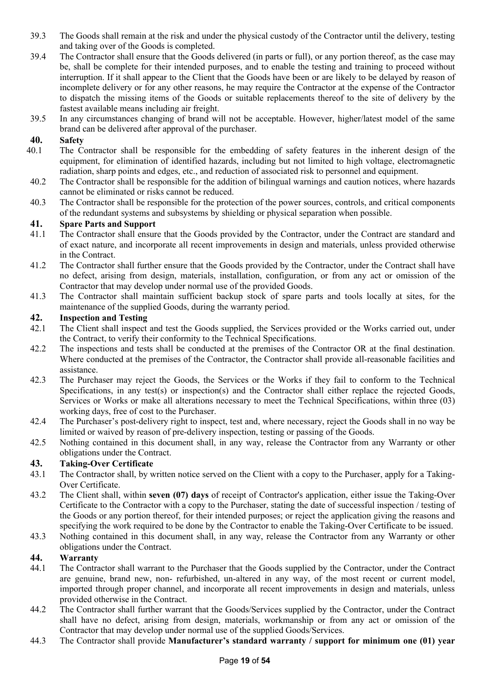- 39.3 The Goods shall remain at the risk and under the physical custody of the Contractor until the delivery, testing and taking over of the Goods is completed.
- 39.4 The Contractor shall ensure that the Goods delivered (in parts or full), or any portion thereof, as the case may be, shall be complete for their intended purposes, and to enable the testing and training to proceed without interruption. If it shall appear to the Client that the Goods have been or are likely to be delayed by reason of incomplete delivery or for any other reasons, he may require the Contractor at the expense of the Contractor to dispatch the missing items of the Goods or suitable replacements thereof to the site of delivery by the fastest available means including air freight.
- 39.5 In any circumstances changing of brand will not be acceptable. However, higher/latest model of the same brand can be delivered after approval of the purchaser.

## **40. Safety**

- 40.1 The Contractor shall be responsible for the embedding of safety features in the inherent design of the equipment, for elimination of identified hazards, including but not limited to high voltage, electromagnetic radiation, sharp points and edges, etc., and reduction of associated risk to personnel and equipment.
- 40.2 The Contractor shall be responsible for the addition of bilingual warnings and caution notices, where hazards cannot be eliminated or risks cannot be reduced.
- 40.3 The Contractor shall be responsible for the protection of the power sources, controls, and critical components of the redundant systems and subsystems by shielding or physical separation when possible.

### **41. Spare Parts and Support**

- 41.1 The Contractor shall ensure that the Goods provided by the Contractor, under the Contract are standard and of exact nature, and incorporate all recent improvements in design and materials, unless provided otherwise in the Contract.
- 41.2 The Contractor shall further ensure that the Goods provided by the Contractor, under the Contract shall have no defect, arising from design, materials, installation, configuration, or from any act or omission of the Contractor that may develop under normal use of the provided Goods.
- 41.3 The Contractor shall maintain sufficient backup stock of spare parts and tools locally at sites, for the maintenance of the supplied Goods, during the warranty period.

### **42. Inspection and Testing**

- 42.1 The Client shall inspect and test the Goods supplied, the Services provided or the Works carried out, under the Contract, to verify their conformity to the Technical Specifications.
- 42.2 The inspections and tests shall be conducted at the premises of the Contractor OR at the final destination. Where conducted at the premises of the Contractor, the Contractor shall provide all-reasonable facilities and assistance.
- 42.3 The Purchaser may reject the Goods, the Services or the Works if they fail to conform to the Technical Specifications, in any test(s) or inspection(s) and the Contractor shall either replace the rejected Goods, Services or Works or make all alterations necessary to meet the Technical Specifications, within three (03) working days, free of cost to the Purchaser.
- 42.4 The Purchaser's post-delivery right to inspect, test and, where necessary, reject the Goods shall in no way be limited or waived by reason of pre-delivery inspection, testing or passing of the Goods.
- 42.5 Nothing contained in this document shall, in any way, release the Contractor from any Warranty or other obligations under the Contract.

## **43. Taking-Over Certificate**

- 43.1 The Contractor shall, by written notice served on the Client with a copy to the Purchaser, apply for a Taking-Over Certificate.
- 43.2 The Client shall, within **seven (07) days** of receipt of Contractor's application, either issue the Taking-Over Certificate to the Contractor with a copy to the Purchaser, stating the date of successful inspection / testing of the Goods or any portion thereof, for their intended purposes; or reject the application giving the reasons and specifying the work required to be done by the Contractor to enable the Taking-Over Certificate to be issued.
- 43.3 Nothing contained in this document shall, in any way, release the Contractor from any Warranty or other obligations under the Contract.

#### **44. Warranty**

- 44.1 The Contractor shall warrant to the Purchaser that the Goods supplied by the Contractor, under the Contract are genuine, brand new, non- refurbished, un-altered in any way, of the most recent or current model, imported through proper channel, and incorporate all recent improvements in design and materials, unless provided otherwise in the Contract.
- 44.2 The Contractor shall further warrant that the Goods/Services supplied by the Contractor, under the Contract shall have no defect, arising from design, materials, workmanship or from any act or omission of the Contractor that may develop under normal use of the supplied Goods/Services.
- 44.3 The Contractor shall provide **Manufacturer's standard warranty / support for minimum one (01) year**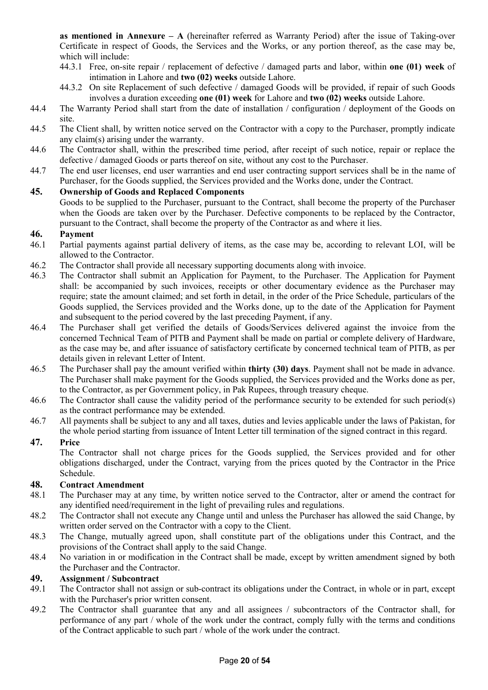**as mentioned in Annexure – A** (hereinafter referred as Warranty Period) after the issue of Taking-over Certificate in respect of Goods, the Services and the Works, or any portion thereof, as the case may be, which will include:

- 44.3.1 Free, on-site repair / replacement of defective / damaged parts and labor, within **one (01) week** of intimation in Lahore and **two (02) weeks** outside Lahore.
- 44.3.2 On site Replacement of such defective / damaged Goods will be provided, if repair of such Goods involves a duration exceeding **one (01) week** for Lahore and **two (02) weeks** outside Lahore.
- 44.4 The Warranty Period shall start from the date of installation / configuration / deployment of the Goods on site.
- 44.5 The Client shall, by written notice served on the Contractor with a copy to the Purchaser, promptly indicate any claim(s) arising under the warranty.
- 44.6 The Contractor shall, within the prescribed time period, after receipt of such notice, repair or replace the defective / damaged Goods or parts thereof on site, without any cost to the Purchaser.
- 44.7 The end user licenses, end user warranties and end user contracting support services shall be in the name of Purchaser, for the Goods supplied, the Services provided and the Works done, under the Contract.

## **45. Ownership of Goods and Replaced Components**

Goods to be supplied to the Purchaser, pursuant to the Contract, shall become the property of the Purchaser when the Goods are taken over by the Purchaser. Defective components to be replaced by the Contractor, pursuant to the Contract, shall become the property of the Contractor as and where it lies.

## **46. Payment**

- 46.1 Partial payments against partial delivery of items, as the case may be, according to relevant LOI, will be allowed to the Contractor.
- 46.2 The Contractor shall provide all necessary supporting documents along with invoice.
- 46.3 The Contractor shall submit an Application for Payment, to the Purchaser. The Application for Payment shall: be accompanied by such invoices, receipts or other documentary evidence as the Purchaser may require; state the amount claimed; and set forth in detail, in the order of the Price Schedule, particulars of the Goods supplied, the Services provided and the Works done, up to the date of the Application for Payment and subsequent to the period covered by the last preceding Payment, if any.
- 46.4 The Purchaser shall get verified the details of Goods/Services delivered against the invoice from the concerned Technical Team of PITB and Payment shall be made on partial or complete delivery of Hardware, as the case may be, and after issuance of satisfactory certificate by concerned technical team of PITB, as per details given in relevant Letter of Intent.
- 46.5 The Purchaser shall pay the amount verified within **thirty (30) days**. Payment shall not be made in advance. The Purchaser shall make payment for the Goods supplied, the Services provided and the Works done as per, to the Contractor, as per Government policy, in Pak Rupees, through treasury cheque.
- 46.6 The Contractor shall cause the validity period of the performance security to be extended for such period(s) as the contract performance may be extended.
- 46.7 All payments shall be subject to any and all taxes, duties and levies applicable under the laws of Pakistan, for the whole period starting from issuance of Intent Letter till termination of the signed contract in this regard.

## **47. Price**

The Contractor shall not charge prices for the Goods supplied, the Services provided and for other obligations discharged, under the Contract, varying from the prices quoted by the Contractor in the Price Schedule.

## **48. Contract Amendment**

- 48.1 The Purchaser may at any time, by written notice served to the Contractor, alter or amend the contract for any identified need/requirement in the light of prevailing rules and regulations.
- 48.2 The Contractor shall not execute any Change until and unless the Purchaser has allowed the said Change, by written order served on the Contractor with a copy to the Client.
- 48.3 The Change, mutually agreed upon, shall constitute part of the obligations under this Contract, and the provisions of the Contract shall apply to the said Change.
- 48.4 No variation in or modification in the Contract shall be made, except by written amendment signed by both the Purchaser and the Contractor.

## **49. Assignment / Subcontract**

- 49.1 The Contractor shall not assign or sub-contract its obligations under the Contract, in whole or in part, except with the Purchaser's prior written consent.
- 49.2 The Contractor shall guarantee that any and all assignees / subcontractors of the Contractor shall, for performance of any part / whole of the work under the contract, comply fully with the terms and conditions of the Contract applicable to such part / whole of the work under the contract.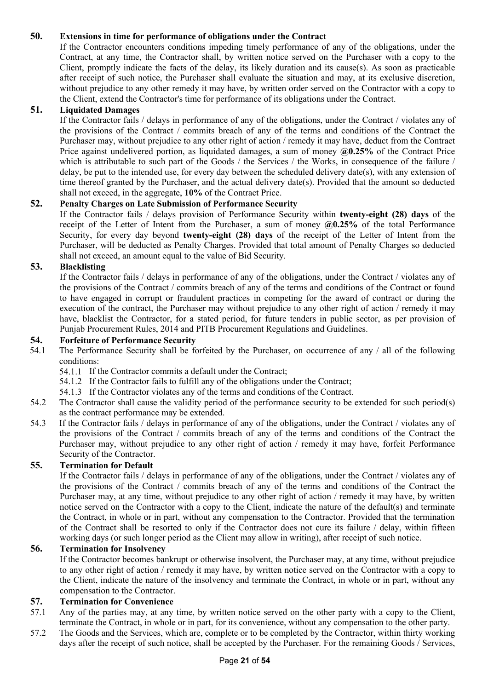## **50. Extensions in time for performance of obligations under the Contract**

If the Contractor encounters conditions impeding timely performance of any of the obligations, under the Contract, at any time, the Contractor shall, by written notice served on the Purchaser with a copy to the Client, promptly indicate the facts of the delay, its likely duration and its cause(s). As soon as practicable after receipt of such notice, the Purchaser shall evaluate the situation and may, at its exclusive discretion, without prejudice to any other remedy it may have, by written order served on the Contractor with a copy to the Client, extend the Contractor's time for performance of its obligations under the Contract.

### **51. Liquidated Damages**

If the Contractor fails / delays in performance of any of the obligations, under the Contract / violates any of the provisions of the Contract / commits breach of any of the terms and conditions of the Contract the Purchaser may, without prejudice to any other right of action / remedy it may have, deduct from the Contract Price against undelivered portion, as liquidated damages, a sum of money **@0.25%** of the Contract Price which is attributable to such part of the Goods / the Services / the Works, in consequence of the failure / delay, be put to the intended use, for every day between the scheduled delivery date(s), with any extension of time thereof granted by the Purchaser, and the actual delivery date(s). Provided that the amount so deducted shall not exceed, in the aggregate, **10%** of the Contract Price.

## **52. Penalty Charges on Late Submission of Performance Security**

If the Contractor fails / delays provision of Performance Security within **twenty-eight (28) days** of the receipt of the Letter of Intent from the Purchaser, a sum of money **@0.25%** of the total Performance Security, for every day beyond **twenty-eight (28) days** of the receipt of the Letter of Intent from the Purchaser, will be deducted as Penalty Charges. Provided that total amount of Penalty Charges so deducted shall not exceed, an amount equal to the value of Bid Security.

## **53. Blacklisting**

If the Contractor fails / delays in performance of any of the obligations, under the Contract / violates any of the provisions of the Contract / commits breach of any of the terms and conditions of the Contract or found to have engaged in corrupt or fraudulent practices in competing for the award of contract or during the execution of the contract, the Purchaser may without prejudice to any other right of action / remedy it may have, blacklist the Contractor, for a stated period, for future tenders in public sector, as per provision of Punjab Procurement Rules, 2014 and PITB Procurement Regulations and Guidelines.

#### **54. Forfeiture of Performance Security**

- 54.1 The Performance Security shall be forfeited by the Purchaser, on occurrence of any / all of the following conditions:
	- 54.1.1 If the Contractor commits a default under the Contract;
	- 54.1.2 If the Contractor fails to fulfill any of the obligations under the Contract;
	- 54.1.3 If the Contractor violates any of the terms and conditions of the Contract.
- 54.2 The Contractor shall cause the validity period of the performance security to be extended for such period(s) as the contract performance may be extended.
- 54.3 If the Contractor fails / delays in performance of any of the obligations, under the Contract / violates any of the provisions of the Contract / commits breach of any of the terms and conditions of the Contract the Purchaser may, without prejudice to any other right of action / remedy it may have, forfeit Performance Security of the Contractor.

#### **55. Termination for Default**

If the Contractor fails / delays in performance of any of the obligations, under the Contract / violates any of the provisions of the Contract / commits breach of any of the terms and conditions of the Contract the Purchaser may, at any time, without prejudice to any other right of action / remedy it may have, by written notice served on the Contractor with a copy to the Client, indicate the nature of the default(s) and terminate the Contract, in whole or in part, without any compensation to the Contractor. Provided that the termination of the Contract shall be resorted to only if the Contractor does not cure its failure / delay, within fifteen working days (or such longer period as the Client may allow in writing), after receipt of such notice.

#### **56. Termination for Insolvency**

If the Contractor becomes bankrupt or otherwise insolvent, the Purchaser may, at any time, without prejudice to any other right of action / remedy it may have, by written notice served on the Contractor with a copy to the Client, indicate the nature of the insolvency and terminate the Contract, in whole or in part, without any compensation to the Contractor.

### **57. Termination for Convenience**

- 57.1 Any of the parties may, at any time, by written notice served on the other party with a copy to the Client, terminate the Contract, in whole or in part, for its convenience, without any compensation to the other party.
- 57.2 The Goods and the Services, which are, complete or to be completed by the Contractor, within thirty working days after the receipt of such notice, shall be accepted by the Purchaser. For the remaining Goods / Services,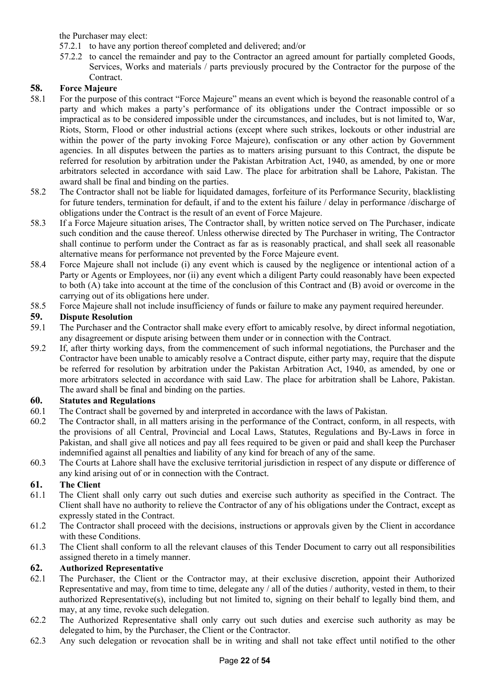the Purchaser may elect:

- 57.2.1 to have any portion thereof completed and delivered; and/or
- 57.2.2 to cancel the remainder and pay to the Contractor an agreed amount for partially completed Goods, Services, Works and materials / parts previously procured by the Contractor for the purpose of the Contract.

## **58. Force Majeure**

- 58.1 For the purpose of this contract "Force Majeure" means an event which is beyond the reasonable control of a party and which makes a party's performance of its obligations under the Contract impossible or so impractical as to be considered impossible under the circumstances, and includes, but is not limited to, War, Riots, Storm, Flood or other industrial actions (except where such strikes, lockouts or other industrial are within the power of the party invoking Force Majeure), confiscation or any other action by Government agencies. In all disputes between the parties as to matters arising pursuant to this Contract, the dispute be referred for resolution by arbitration under the Pakistan Arbitration Act, 1940, as amended, by one or more arbitrators selected in accordance with said Law. The place for arbitration shall be Lahore, Pakistan. The award shall be final and binding on the parties.
- 58.2 The Contractor shall not be liable for liquidated damages, forfeiture of its Performance Security, blacklisting for future tenders, termination for default, if and to the extent his failure / delay in performance /discharge of obligations under the Contract is the result of an event of Force Majeure.
- 58.3 If a Force Majeure situation arises, The Contractor shall, by written notice served on The Purchaser, indicate such condition and the cause thereof. Unless otherwise directed by The Purchaser in writing, The Contractor shall continue to perform under the Contract as far as is reasonably practical, and shall seek all reasonable alternative means for performance not prevented by the Force Majeure event.
- 58.4 Force Majeure shall not include (i) any event which is caused by the negligence or intentional action of a Party or Agents or Employees, nor (ii) any event which a diligent Party could reasonably have been expected to both (A) take into account at the time of the conclusion of this Contract and (B) avoid or overcome in the carrying out of its obligations here under.
- 58.5 Force Majeure shall not include insufficiency of funds or failure to make any payment required hereunder.

## **59. Dispute Resolution**

- 59.1 The Purchaser and the Contractor shall make every effort to amicably resolve, by direct informal negotiation, any disagreement or dispute arising between them under or in connection with the Contract.
- 59.2 If, after thirty working days, from the commencement of such informal negotiations, the Purchaser and the Contractor have been unable to amicably resolve a Contract dispute, either party may, require that the dispute be referred for resolution by arbitration under the Pakistan Arbitration Act, 1940, as amended, by one or more arbitrators selected in accordance with said Law. The place for arbitration shall be Lahore, Pakistan. The award shall be final and binding on the parties.

## **60. Statutes and Regulations**

- 60.1 The Contract shall be governed by and interpreted in accordance with the laws of Pakistan.
- 60.2 The Contractor shall, in all matters arising in the performance of the Contract, conform, in all respects, with the provisions of all Central, Provincial and Local Laws, Statutes, Regulations and By-Laws in force in Pakistan, and shall give all notices and pay all fees required to be given or paid and shall keep the Purchaser indemnified against all penalties and liability of any kind for breach of any of the same.
- 60.3 The Courts at Lahore shall have the exclusive territorial jurisdiction in respect of any dispute or difference of any kind arising out of or in connection with the Contract.

## **61. The Client**

- 61.1 The Client shall only carry out such duties and exercise such authority as specified in the Contract. The Client shall have no authority to relieve the Contractor of any of his obligations under the Contract, except as expressly stated in the Contract.
- 61.2 The Contractor shall proceed with the decisions, instructions or approvals given by the Client in accordance with these Conditions.
- 61.3 The Client shall conform to all the relevant clauses of this Tender Document to carry out all responsibilities assigned thereto in a timely manner.

## **62. Authorized Representative**

- 62.1 The Purchaser, the Client or the Contractor may, at their exclusive discretion, appoint their Authorized Representative and may, from time to time, delegate any / all of the duties / authority, vested in them, to their authorized Representative(s), including but not limited to, signing on their behalf to legally bind them, and may, at any time, revoke such delegation.
- 62.2 The Authorized Representative shall only carry out such duties and exercise such authority as may be delegated to him, by the Purchaser, the Client or the Contractor.
- 62.3 Any such delegation or revocation shall be in writing and shall not take effect until notified to the other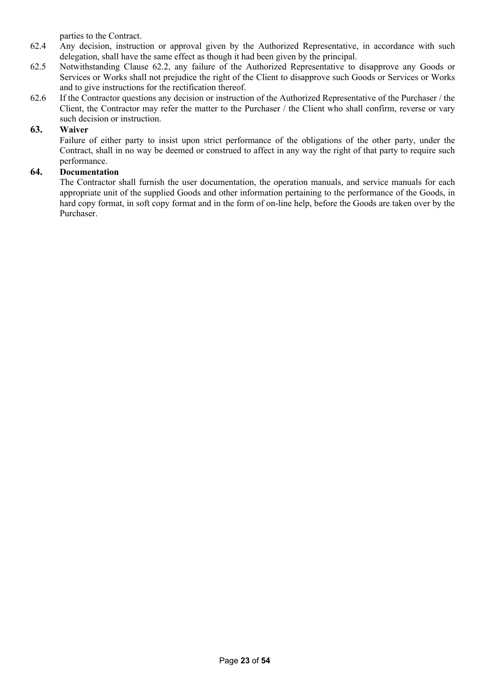parties to the Contract.

- 62.4 Any decision, instruction or approval given by the Authorized Representative, in accordance with such delegation, shall have the same effect as though it had been given by the principal.
- 62.5 Notwithstanding Clause 62.2, any failure of the Authorized Representative to disapprove any Goods or Services or Works shall not prejudice the right of the Client to disapprove such Goods or Services or Works and to give instructions for the rectification thereof.
- 62.6 If the Contractor questions any decision or instruction of the Authorized Representative of the Purchaser / the Client, the Contractor may refer the matter to the Purchaser / the Client who shall confirm, reverse or vary such decision or instruction.

## **63. Waiver**

Failure of either party to insist upon strict performance of the obligations of the other party, under the Contract, shall in no way be deemed or construed to affect in any way the right of that party to require such performance.

## **64. Documentation**

The Contractor shall furnish the user documentation, the operation manuals, and service manuals for each appropriate unit of the supplied Goods and other information pertaining to the performance of the Goods, in hard copy format, in soft copy format and in the form of on-line help, before the Goods are taken over by the Purchaser.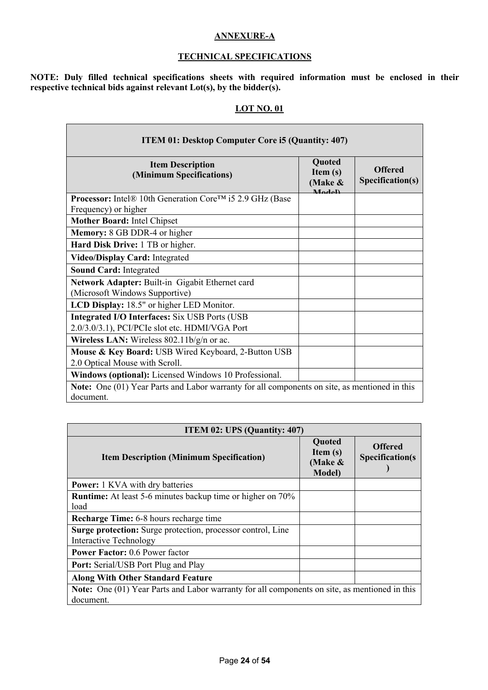### **ANNEXURE-A**

### **TECHNICAL SPECIFICATIONS**

**NOTE: Duly filled technical specifications sheets with required information must be enclosed in their respective technical bids against relevant Lot(s), by the bidder(s).**

### **LOT NO. 01**

| <b>ITEM 01: Desktop Computer Core i5 (Quantity: 407)</b>                                               |                                                               |                                    |  |  |
|--------------------------------------------------------------------------------------------------------|---------------------------------------------------------------|------------------------------------|--|--|
| <b>Item Description</b><br>(Minimum Specifications)                                                    | <b>Quoted</b><br>Item $(s)$<br>(Make &<br>$M_{c}$ $J_{c}$ $V$ | <b>Offered</b><br>Specification(s) |  |  |
| <b>Processor:</b> Intel® 10th Generation Core™ i5 2.9 GHz (Base<br>Frequency) or higher                |                                                               |                                    |  |  |
| Mother Board: Intel Chipset                                                                            |                                                               |                                    |  |  |
| Memory: 8 GB DDR-4 or higher                                                                           |                                                               |                                    |  |  |
| Hard Disk Drive: 1 TB or higher.                                                                       |                                                               |                                    |  |  |
| Video/Display Card: Integrated                                                                         |                                                               |                                    |  |  |
| <b>Sound Card: Integrated</b>                                                                          |                                                               |                                    |  |  |
| Network Adapter: Built-in Gigabit Ethernet card                                                        |                                                               |                                    |  |  |
| (Microsoft Windows Supportive)                                                                         |                                                               |                                    |  |  |
| LCD Display: 18.5" or higher LED Monitor.                                                              |                                                               |                                    |  |  |
| <b>Integrated I/O Interfaces:</b> Six USB Ports (USB<br>2.0/3.0/3.1), PCI/PCIe slot etc. HDMI/VGA Port |                                                               |                                    |  |  |
| <b>Wireless LAN:</b> Wireless $802.11b/g/n$ or ac.                                                     |                                                               |                                    |  |  |
| Mouse & Key Board: USB Wired Keyboard, 2-Button USB                                                    |                                                               |                                    |  |  |
| 2.0 Optical Mouse with Scroll.                                                                         |                                                               |                                    |  |  |
| Windows (optional): Licensed Windows 10 Professional.                                                  |                                                               |                                    |  |  |
| Note: One (01) Year Parts and Labor warranty for all components on site, as mentioned in this          |                                                               |                                    |  |  |
| document.                                                                                              |                                                               |                                    |  |  |

| <b>ITEM 02: UPS (Quantity: 407)</b>                                                                               |                                                   |                                          |  |  |
|-------------------------------------------------------------------------------------------------------------------|---------------------------------------------------|------------------------------------------|--|--|
| <b>Item Description (Minimum Specification)</b>                                                                   | Quoted<br>Item $(s)$<br>(Make &<br><b>Model</b> ) | <b>Offered</b><br><b>Specification(s</b> |  |  |
| <b>Power:</b> 1 KVA with dry batteries                                                                            |                                                   |                                          |  |  |
| <b>Runtime:</b> At least 5-6 minutes backup time or higher on 70%<br>load                                         |                                                   |                                          |  |  |
| <b>Recharge Time:</b> 6-8 hours recharge time                                                                     |                                                   |                                          |  |  |
| Surge protection: Surge protection, processor control, Line<br><b>Interactive Technology</b>                      |                                                   |                                          |  |  |
| <b>Power Factor: 0.6 Power factor</b>                                                                             |                                                   |                                          |  |  |
| <b>Port:</b> Serial/USB Port Plug and Play                                                                        |                                                   |                                          |  |  |
| <b>Along With Other Standard Feature</b>                                                                          |                                                   |                                          |  |  |
| <b>Note:</b> One (01) Year Parts and Labor warranty for all components on site, as mentioned in this<br>document. |                                                   |                                          |  |  |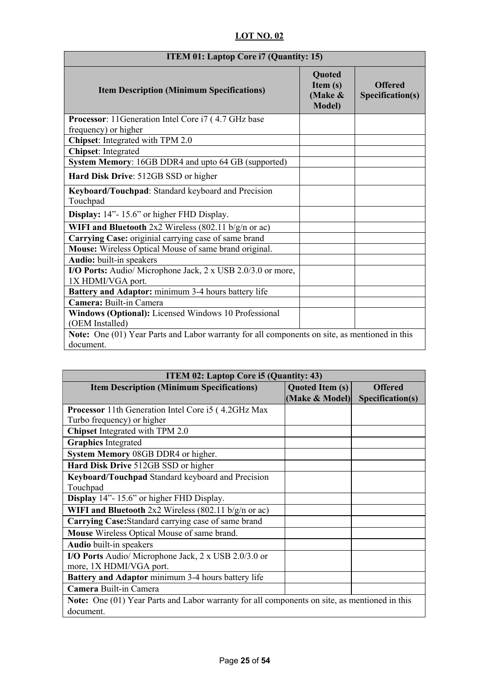| <b>ITEM 01: Laptop Core i7 (Quantity: 15)</b>                                                 |                                                          |                                    |  |
|-----------------------------------------------------------------------------------------------|----------------------------------------------------------|------------------------------------|--|
| <b>Item Description (Minimum Specifications)</b>                                              | <b>Quoted</b><br>Item $(s)$<br>(Make &<br><b>Model</b> ) | <b>Offered</b><br>Specification(s) |  |
| Processor: 11Generation Intel Core i7 (4.7 GHz base<br>frequency) or higher                   |                                                          |                                    |  |
| Chipset: Integrated with TPM 2.0                                                              |                                                          |                                    |  |
| <b>Chipset:</b> Integrated                                                                    |                                                          |                                    |  |
| System Memory: 16GB DDR4 and upto 64 GB (supported)                                           |                                                          |                                    |  |
| Hard Disk Drive: 512GB SSD or higher                                                          |                                                          |                                    |  |
| Keyboard/Touchpad: Standard keyboard and Precision<br>Touchpad                                |                                                          |                                    |  |
| Display: 14"-15.6" or higher FHD Display.                                                     |                                                          |                                    |  |
| WIFI and Bluetooth 2x2 Wireless (802.11 b/g/n or ac)                                          |                                                          |                                    |  |
| Carrying Case: originial carrying case of same brand                                          |                                                          |                                    |  |
| Mouse: Wireless Optical Mouse of same brand original.                                         |                                                          |                                    |  |
| <b>Audio:</b> built-in speakers                                                               |                                                          |                                    |  |
| I/O Ports: Audio/ Microphone Jack, 2 x USB 2.0/3.0 or more,<br>1X HDMI/VGA port.              |                                                          |                                    |  |
| Battery and Adaptor: minimum 3-4 hours battery life                                           |                                                          |                                    |  |
| Camera: Built-in Camera                                                                       |                                                          |                                    |  |
| Windows (Optional): Licensed Windows 10 Professional<br>(OEM Installed)                       |                                                          |                                    |  |
| Note: One (01) Year Parts and Labor warranty for all components on site, as mentioned in this |                                                          |                                    |  |
| document.                                                                                     |                                                          |                                    |  |

| <b>ITEM 02: Laptop Core i5 (Quantity: 43)</b>                                                 |                        |                  |  |
|-----------------------------------------------------------------------------------------------|------------------------|------------------|--|
| <b>Item Description (Minimum Specifications)</b>                                              | <b>Quoted Item (s)</b> | <b>Offered</b>   |  |
|                                                                                               | (Make & Model)         | Specification(s) |  |
| <b>Processor</b> 11th Generation Intel Core i5 (4.2GHz Max                                    |                        |                  |  |
| Turbo frequency) or higher                                                                    |                        |                  |  |
| <b>Chipset</b> Integrated with TPM 2.0                                                        |                        |                  |  |
| <b>Graphics</b> Integrated                                                                    |                        |                  |  |
| System Memory 08GB DDR4 or higher.                                                            |                        |                  |  |
| Hard Disk Drive 512GB SSD or higher                                                           |                        |                  |  |
| Keyboard/Touchpad Standard keyboard and Precision                                             |                        |                  |  |
| Touchpad                                                                                      |                        |                  |  |
| <b>Display</b> 14"-15.6" or higher FHD Display.                                               |                        |                  |  |
| WIFI and Bluetooth 2x2 Wireless (802.11 b/g/n or ac)                                          |                        |                  |  |
| Carrying Case: Standard carrying case of same brand                                           |                        |                  |  |
| Mouse Wireless Optical Mouse of same brand.                                                   |                        |                  |  |
| Audio built-in speakers                                                                       |                        |                  |  |
| I/O Ports Audio/ Microphone Jack, 2 x USB 2.0/3.0 or                                          |                        |                  |  |
| more, 1X HDMI/VGA port.                                                                       |                        |                  |  |
| Battery and Adaptor minimum 3-4 hours battery life                                            |                        |                  |  |
| Camera Built-in Camera                                                                        |                        |                  |  |
| Note: One (01) Year Parts and Labor warranty for all components on site, as mentioned in this |                        |                  |  |
| document.                                                                                     |                        |                  |  |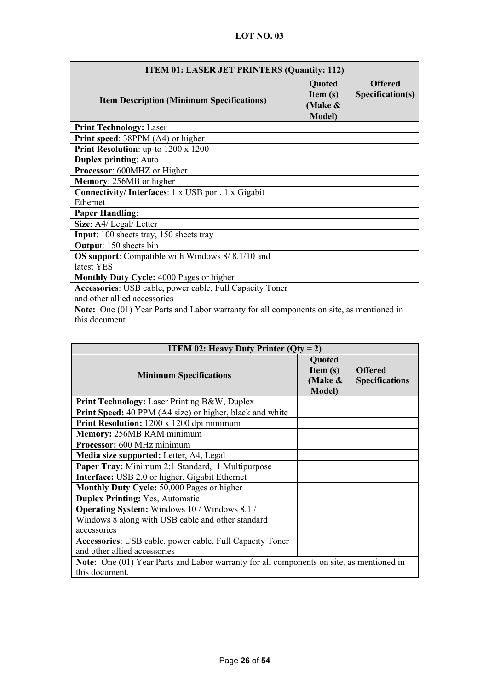| <b>ITEM 01: LASER JET PRINTERS (Quantity: 112)</b>                                       |                                                      |                                    |  |  |
|------------------------------------------------------------------------------------------|------------------------------------------------------|------------------------------------|--|--|
| <b>Item Description (Minimum Specifications)</b>                                         | Quoted<br>Item $(s)$<br>(Make $\&$<br><b>Model</b> ) | <b>Offered</b><br>Specification(s) |  |  |
| <b>Print Technology: Laser</b>                                                           |                                                      |                                    |  |  |
| Print speed: 38PPM (A4) or higher                                                        |                                                      |                                    |  |  |
| Print Resolution: up-to 1200 x 1200                                                      |                                                      |                                    |  |  |
| <b>Duplex printing: Auto</b>                                                             |                                                      |                                    |  |  |
| Processor: 600MHZ or Higher                                                              |                                                      |                                    |  |  |
| <b>Memory: 256MB</b> or higher                                                           |                                                      |                                    |  |  |
| Connectivity/Interfaces: 1 x USB port, 1 x Gigabit                                       |                                                      |                                    |  |  |
| Ethernet                                                                                 |                                                      |                                    |  |  |
| <b>Paper Handling:</b>                                                                   |                                                      |                                    |  |  |
| Size: A4/ Legal/ Letter                                                                  |                                                      |                                    |  |  |
| Input: 100 sheets tray, 150 sheets tray                                                  |                                                      |                                    |  |  |
| <b>Output:</b> 150 sheets bin                                                            |                                                      |                                    |  |  |
| <b>OS support:</b> Compatible with Windows 8/8.1/10 and                                  |                                                      |                                    |  |  |
| latest YES                                                                               |                                                      |                                    |  |  |
| Monthly Duty Cycle: 4000 Pages or higher                                                 |                                                      |                                    |  |  |
| Accessories: USB cable, power cable, Full Capacity Toner                                 |                                                      |                                    |  |  |
| and other allied accessories                                                             |                                                      |                                    |  |  |
| Note: One (01) Year Parts and Labor warranty for all components on site, as mentioned in |                                                      |                                    |  |  |
| this document.                                                                           |                                                      |                                    |  |  |

| <b>ITEM 02: Heavy Duty Printer (Qty = 2)</b>                                                    |                                                      |                                         |
|-------------------------------------------------------------------------------------------------|------------------------------------------------------|-----------------------------------------|
| <b>Minimum Specifications</b>                                                                   | Quoted<br>Item $(s)$<br>(Make $\&$<br><b>Model</b> ) | <b>Offered</b><br><b>Specifications</b> |
| <b>Print Technology:</b> Laser Printing B&W, Duplex                                             |                                                      |                                         |
| Print Speed: 40 PPM (A4 size) or higher, black and white                                        |                                                      |                                         |
| Print Resolution: 1200 x 1200 dpi minimum                                                       |                                                      |                                         |
| Memory: 256MB RAM minimum                                                                       |                                                      |                                         |
| Processor: 600 MHz minimum                                                                      |                                                      |                                         |
| Media size supported: Letter, A4, Legal                                                         |                                                      |                                         |
| Paper Tray: Minimum 2:1 Standard, 1 Multipurpose                                                |                                                      |                                         |
| <b>Interface:</b> USB 2.0 or higher, Gigabit Ethernet                                           |                                                      |                                         |
| Monthly Duty Cycle: 50,000 Pages or higher                                                      |                                                      |                                         |
| <b>Duplex Printing:</b> Yes, Automatic                                                          |                                                      |                                         |
| <b>Operating System:</b> Windows 10 / Windows 8.1 /                                             |                                                      |                                         |
| Windows 8 along with USB cable and other standard                                               |                                                      |                                         |
| accessories                                                                                     |                                                      |                                         |
| Accessories: USB cable, power cable, Full Capacity Toner                                        |                                                      |                                         |
| and other allied accessories                                                                    |                                                      |                                         |
| <b>Note:</b> One (01) Year Parts and Labor warranty for all components on site, as mentioned in |                                                      |                                         |
| this document.                                                                                  |                                                      |                                         |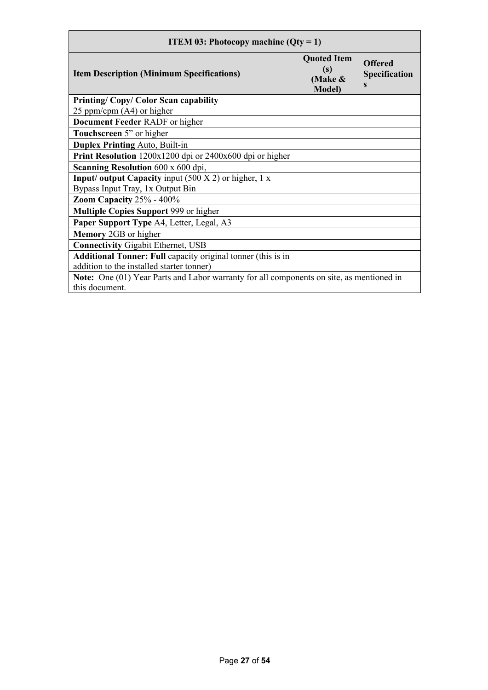| <b>ITEM 03: Photocopy machine (Qty = 1)</b>                                              |                                                        |                                             |
|------------------------------------------------------------------------------------------|--------------------------------------------------------|---------------------------------------------|
| <b>Item Description (Minimum Specifications)</b>                                         | <b>Quoted Item</b><br>(s)<br>(Make &<br><b>Model</b> ) | <b>Offered</b><br><b>Specification</b><br>s |
| <b>Printing/Copy/Color Scan capability</b>                                               |                                                        |                                             |
| 25 ppm/cpm $(A4)$ or higher                                                              |                                                        |                                             |
| <b>Document Feeder RADF</b> or higher                                                    |                                                        |                                             |
| Touchscreen 5" or higher                                                                 |                                                        |                                             |
| <b>Duplex Printing Auto, Built-in</b>                                                    |                                                        |                                             |
| Print Resolution 1200x1200 dpi or 2400x600 dpi or higher                                 |                                                        |                                             |
| Scanning Resolution 600 x 600 dpi,                                                       |                                                        |                                             |
| <b>Input/ output Capacity</b> input $(500 X 2)$ or higher, 1 x                           |                                                        |                                             |
| Bypass Input Tray, 1x Output Bin                                                         |                                                        |                                             |
| Zoom Capacity $25\%$ - $400\%$                                                           |                                                        |                                             |
| <b>Multiple Copies Support 999 or higher</b>                                             |                                                        |                                             |
| Paper Support Type A4, Letter, Legal, A3                                                 |                                                        |                                             |
| <b>Memory</b> 2GB or higher                                                              |                                                        |                                             |
| <b>Connectivity Gigabit Ethernet, USB</b>                                                |                                                        |                                             |
| <b>Additional Tonner: Full capacity original tonner (this is in</b>                      |                                                        |                                             |
| addition to the installed starter tonner)                                                |                                                        |                                             |
| Note: One (01) Year Parts and Labor warranty for all components on site, as mentioned in |                                                        |                                             |
| this document.                                                                           |                                                        |                                             |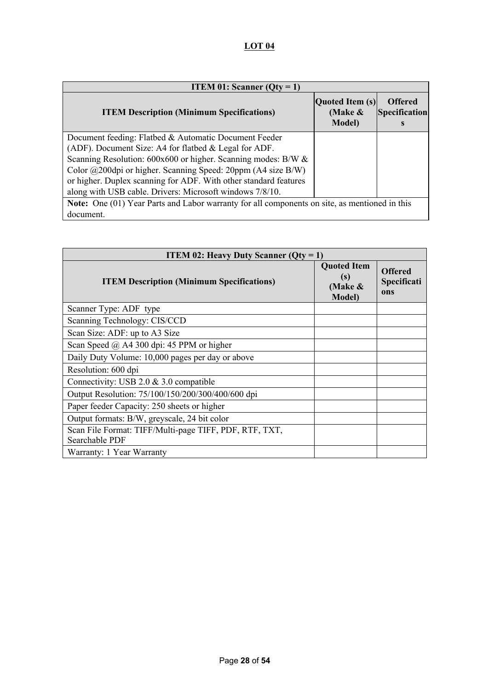# **LOT 04**

| <b>ITEM 01:</b> Scanner ( $Qty = 1$ )                                                                |                                                 |                                             |
|------------------------------------------------------------------------------------------------------|-------------------------------------------------|---------------------------------------------|
| <b>ITEM Description (Minimum Specifications)</b>                                                     | Quoted Item (s)<br>(Make $\&$<br><b>Model</b> ) | <b>Offered</b><br><b>Specification</b><br>s |
| Document feeding: Flatbed & Automatic Document Feeder                                                |                                                 |                                             |
| (ADF). Document Size: A4 for flatbed & Legal for ADF.                                                |                                                 |                                             |
| Scanning Resolution: $600x600$ or higher. Scanning modes: B/W $&$                                    |                                                 |                                             |
| Color @200dpi or higher. Scanning Speed: 20ppm (A4 size B/W)                                         |                                                 |                                             |
| or higher. Duplex scanning for ADF. With other standard features                                     |                                                 |                                             |
| along with USB cable. Drivers: Microsoft windows 7/8/10.                                             |                                                 |                                             |
| <b>Note:</b> One (01) Year Parts and Labor warranty for all components on site, as mentioned in this |                                                 |                                             |
| document.                                                                                            |                                                 |                                             |

| <b>ITEM 02: Heavy Duty Scanner (Qty = 1)</b>                             |                                                           |                                      |
|--------------------------------------------------------------------------|-----------------------------------------------------------|--------------------------------------|
| <b>ITEM Description (Minimum Specifications)</b>                         | <b>Quoted Item</b><br>(s)<br>(Make $\&$<br><b>Model</b> ) | <b>Offered</b><br>Specificati<br>ons |
| Scanner Type: ADF type                                                   |                                                           |                                      |
| Scanning Technology: CIS/CCD                                             |                                                           |                                      |
| Scan Size: ADF: up to A3 Size                                            |                                                           |                                      |
| Scan Speed $\omega$ A4 300 dpi: 45 PPM or higher                         |                                                           |                                      |
| Daily Duty Volume: 10,000 pages per day or above                         |                                                           |                                      |
| Resolution: 600 dpi                                                      |                                                           |                                      |
| Connectivity: USB 2.0 $& 3.0$ compatible                                 |                                                           |                                      |
| Output Resolution: 75/100/150/200/300/400/600 dpi                        |                                                           |                                      |
| Paper feeder Capacity: 250 sheets or higher                              |                                                           |                                      |
| Output formats: B/W, greyscale, 24 bit color                             |                                                           |                                      |
| Scan File Format: TIFF/Multi-page TIFF, PDF, RTF, TXT,<br>Searchable PDF |                                                           |                                      |
| Warranty: 1 Year Warranty                                                |                                                           |                                      |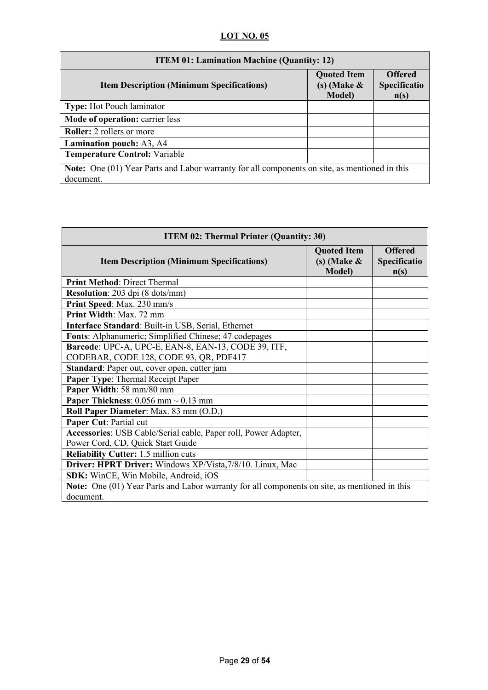| <b>ITEM 01: Lamination Machine (Quantity: 12)</b>                                                                 |                                                          |                                        |
|-------------------------------------------------------------------------------------------------------------------|----------------------------------------------------------|----------------------------------------|
| <b>Item Description (Minimum Specifications)</b>                                                                  | <b>Quoted Item</b><br>$(s)$ (Make $\&$<br><b>Model</b> ) | <b>Offered</b><br>Specificatio<br>n(s) |
| <b>Type:</b> Hot Pouch laminator                                                                                  |                                                          |                                        |
| <b>Mode of operation: carrier less</b>                                                                            |                                                          |                                        |
| <b>Roller:</b> 2 rollers or more                                                                                  |                                                          |                                        |
| <b>Lamination pouch:</b> A3, A4                                                                                   |                                                          |                                        |
| <b>Temperature Control: Variable</b>                                                                              |                                                          |                                        |
| <b>Note:</b> One (01) Year Parts and Labor warranty for all components on site, as mentioned in this<br>document. |                                                          |                                        |

| <b>ITEM 02: Thermal Printer (Quantity: 30)</b>                                                |                                                          |                                        |
|-----------------------------------------------------------------------------------------------|----------------------------------------------------------|----------------------------------------|
| <b>Item Description (Minimum Specifications)</b>                                              | <b>Quoted Item</b><br>$(s)$ (Make $\&$<br><b>Model</b> ) | <b>Offered</b><br>Specificatio<br>n(s) |
| <b>Print Method: Direct Thermal</b>                                                           |                                                          |                                        |
| <b>Resolution:</b> 203 dpi (8 dots/mm)                                                        |                                                          |                                        |
| Print Speed: Max. 230 mm/s                                                                    |                                                          |                                        |
| Print Width: Max. 72 mm                                                                       |                                                          |                                        |
| Interface Standard: Built-in USB, Serial, Ethernet                                            |                                                          |                                        |
| Fonts: Alphanumeric; Simplified Chinese; 47 codepages                                         |                                                          |                                        |
| Barcode: UPC-A, UPC-E, EAN-8, EAN-13, CODE 39, ITF,                                           |                                                          |                                        |
| CODEBAR, CODE 128, CODE 93, QR, PDF417                                                        |                                                          |                                        |
| Standard: Paper out, cover open, cutter jam                                                   |                                                          |                                        |
| <b>Paper Type: Thermal Receipt Paper</b>                                                      |                                                          |                                        |
| Paper Width: 58 mm/80 mm                                                                      |                                                          |                                        |
| <b>Paper Thickness:</b> 0.056 mm $\sim$ 0.13 mm                                               |                                                          |                                        |
| Roll Paper Diameter: Max. 83 mm (O.D.)                                                        |                                                          |                                        |
| Paper Cut: Partial cut                                                                        |                                                          |                                        |
| Accessories: USB Cable/Serial cable, Paper roll, Power Adapter,                               |                                                          |                                        |
| Power Cord, CD, Quick Start Guide                                                             |                                                          |                                        |
| <b>Reliability Cutter:</b> 1.5 million cuts                                                   |                                                          |                                        |
| Driver: HPRT Driver: Windows XP/Vista, 7/8/10. Linux, Mac                                     |                                                          |                                        |
| SDK: WinCE, Win Mobile, Android, iOS                                                          |                                                          |                                        |
| Note: One (01) Year Parts and Labor warranty for all components on site, as mentioned in this |                                                          |                                        |
| document.                                                                                     |                                                          |                                        |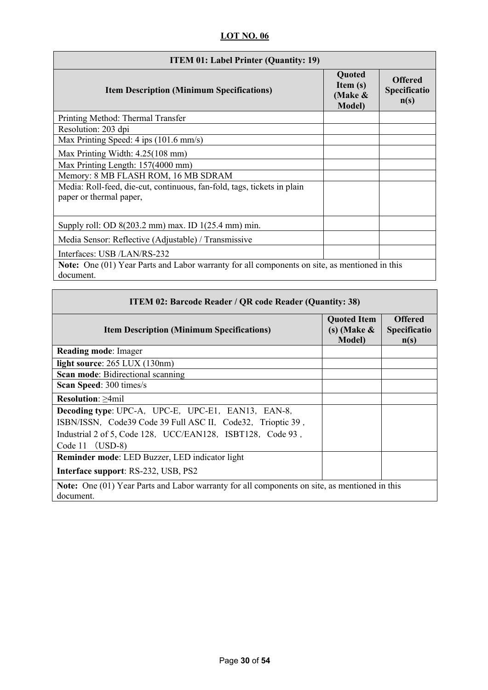| <b>ITEM 01: Label Printer (Quantity: 19)</b>                                                                      |                                                   |                                        |
|-------------------------------------------------------------------------------------------------------------------|---------------------------------------------------|----------------------------------------|
| <b>Item Description (Minimum Specifications)</b>                                                                  | Quoted<br>Item $(s)$<br>(Make &<br><b>Model</b> ) | <b>Offered</b><br>Specificatio<br>n(s) |
| Printing Method: Thermal Transfer                                                                                 |                                                   |                                        |
| Resolution: 203 dpi                                                                                               |                                                   |                                        |
| Max Printing Speed: 4 ips (101.6 mm/s)                                                                            |                                                   |                                        |
| Max Printing Width: $4.25(108 \text{ mm})$                                                                        |                                                   |                                        |
| Max Printing Length: 157(4000 mm)                                                                                 |                                                   |                                        |
| Memory: 8 MB FLASH ROM, 16 MB SDRAM                                                                               |                                                   |                                        |
| Media: Roll-feed, die-cut, continuous, fan-fold, tags, tickets in plain<br>paper or thermal paper,                |                                                   |                                        |
| Supply roll: OD 8(203.2 mm) max. ID 1(25.4 mm) min.                                                               |                                                   |                                        |
| Media Sensor: Reflective (Adjustable) / Transmissive                                                              |                                                   |                                        |
| Interfaces: USB /LAN/RS-232                                                                                       |                                                   |                                        |
| <b>Note:</b> One (01) Year Parts and Labor warranty for all components on site, as mentioned in this<br>document. |                                                   |                                        |

| <b>ITEM 02: Barcode Reader / QR code Reader (Quantity: 38)</b>                                             |                                                        |                                               |
|------------------------------------------------------------------------------------------------------------|--------------------------------------------------------|-----------------------------------------------|
| <b>Item Description (Minimum Specifications)</b>                                                           | <b>Quoted Item</b><br>(s) (Make $\&$<br><b>Model</b> ) | <b>Offered</b><br><b>Specificatio</b><br>n(s) |
| <b>Reading mode: Imager</b>                                                                                |                                                        |                                               |
| light source: 265 LUX (130nm)                                                                              |                                                        |                                               |
| <b>Scan mode:</b> Bidirectional scanning                                                                   |                                                        |                                               |
| <b>Scan Speed: 300 times/s</b>                                                                             |                                                        |                                               |
| <b>Resolution: &gt;4mil</b>                                                                                |                                                        |                                               |
| Decoding type: UPC-A, UPC-E, UPC-E1, EAN13, EAN-8,                                                         |                                                        |                                               |
| ISBN/ISSN, Code39 Code 39 Full ASC II, Code32, Trioptic 39,                                                |                                                        |                                               |
| Industrial 2 of 5, Code 128, UCC/EAN128, ISBT128, Code 93,                                                 |                                                        |                                               |
| Code 11 $(USD-8)$                                                                                          |                                                        |                                               |
| <b>Reminder mode:</b> LED Buzzer, LED indicator light                                                      |                                                        |                                               |
| Interface support: RS-232, USB, PS2                                                                        |                                                        |                                               |
| Note: One (01) Year Parts and Labor warranty for all components on site, as mentioned in this<br>document. |                                                        |                                               |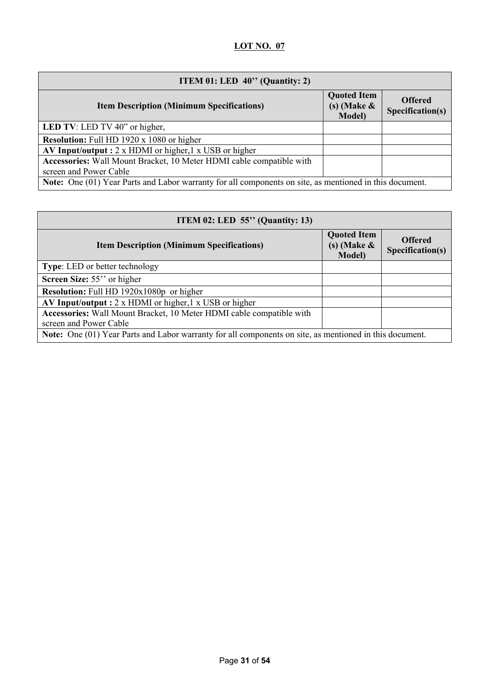| ITEM 01: LED $40$ " (Quantity: 2)                                                                       |                                                          |                                    |
|---------------------------------------------------------------------------------------------------------|----------------------------------------------------------|------------------------------------|
| <b>Item Description (Minimum Specifications)</b>                                                        | <b>Quoted Item</b><br>$(s)$ (Make $\&$<br><b>Model</b> ) | <b>Offered</b><br>Specification(s) |
| <b>LED TV:</b> LED TV 40" or higher,                                                                    |                                                          |                                    |
| <b>Resolution:</b> Full HD 1920 x 1080 or higher                                                        |                                                          |                                    |
| AV Input/output : $2 \times$ HDMI or higher, $1 \times$ USB or higher                                   |                                                          |                                    |
| Accessories: Wall Mount Bracket, 10 Meter HDMI cable compatible with                                    |                                                          |                                    |
| screen and Power Cable                                                                                  |                                                          |                                    |
| Note: One (01) Year Parts and Labor warranty for all components on site, as mentioned in this document. |                                                          |                                    |

| ITEM 02: LED $55$ " (Quantity: 13)                                                                      |                                                        |                                    |
|---------------------------------------------------------------------------------------------------------|--------------------------------------------------------|------------------------------------|
| <b>Item Description (Minimum Specifications)</b>                                                        | <b>Quoted Item</b><br>(s) (Make $\&$<br><b>Model</b> ) | <b>Offered</b><br>Specification(s) |
| Type: LED or better technology                                                                          |                                                        |                                    |
| Screen Size: 55" or higher                                                                              |                                                        |                                    |
| Resolution: Full HD 1920x1080p or higher                                                                |                                                        |                                    |
| AV Input/output : $2 \times$ HDMI or higher, $1 \times$ USB or higher                                   |                                                        |                                    |
| Accessories: Wall Mount Bracket, 10 Meter HDMI cable compatible with                                    |                                                        |                                    |
| screen and Power Cable                                                                                  |                                                        |                                    |
| Note: One (01) Year Parts and Labor warranty for all components on site, as mentioned in this document. |                                                        |                                    |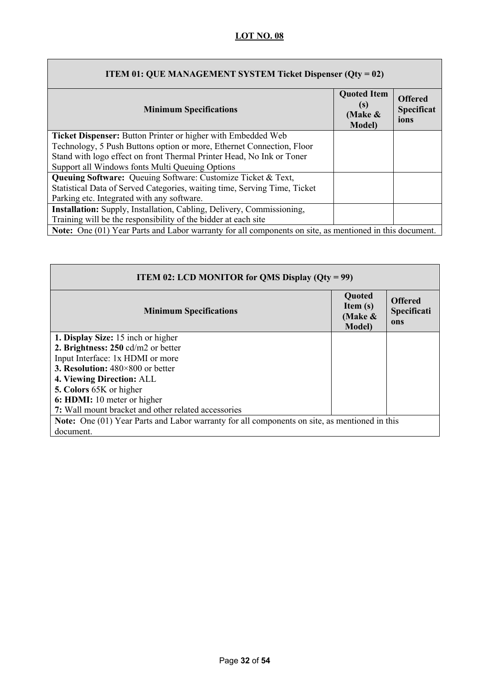| <b>ITEM 01: QUE MANAGEMENT SYSTEM Ticket Dispenser (Qty = 02)</b>                                              |                                                           |                                             |
|----------------------------------------------------------------------------------------------------------------|-----------------------------------------------------------|---------------------------------------------|
| <b>Minimum Specifications</b>                                                                                  | <b>Quoted Item</b><br>(s)<br>(Make $\&$<br><b>Model</b> ) | <b>Offered</b><br><b>Specificat</b><br>ions |
| Ticket Dispenser: Button Printer or higher with Embedded Web                                                   |                                                           |                                             |
| Technology, 5 Push Buttons option or more, Ethernet Connection, Floor                                          |                                                           |                                             |
| Stand with logo effect on front Thermal Printer Head, No Ink or Toner                                          |                                                           |                                             |
| Support all Windows fonts Multi Queuing Options                                                                |                                                           |                                             |
| Queuing Software: Queuing Software: Customize Ticket & Text,                                                   |                                                           |                                             |
| Statistical Data of Served Categories, waiting time, Serving Time, Ticket                                      |                                                           |                                             |
| Parking etc. Integrated with any software.                                                                     |                                                           |                                             |
| Installation: Supply, Installation, Cabling, Delivery, Commissioning,                                          |                                                           |                                             |
| Training will be the responsibility of the bidder at each site                                                 |                                                           |                                             |
| <b>Note:</b> One (01) Year Parts and Labor warranty for all components on site, as mentioned in this document. |                                                           |                                             |

| <b>ITEM 02: LCD MONITOR for QMS Display (Qty = 99)</b>                                        |                                                    |                                      |
|-----------------------------------------------------------------------------------------------|----------------------------------------------------|--------------------------------------|
| <b>Minimum Specifications</b>                                                                 | Quoted<br>Item (s)<br>(Make $\&$<br><b>Model</b> ) | <b>Offered</b><br>Specificati<br>ons |
| 1. Display Size: 15 inch or higher                                                            |                                                    |                                      |
| 2. Brightness: 250 cd/m2 or better                                                            |                                                    |                                      |
| Input Interface: 1x HDMI or more                                                              |                                                    |                                      |
| <b>3. Resolution:</b> $480 \times 800$ or better                                              |                                                    |                                      |
| 4. Viewing Direction: ALL                                                                     |                                                    |                                      |
| 5. Colors 65K or higher                                                                       |                                                    |                                      |
| 6: HDMI: 10 meter or higher                                                                   |                                                    |                                      |
| 7: Wall mount bracket and other related accessories                                           |                                                    |                                      |
| Note: One (01) Year Parts and Labor warranty for all components on site, as mentioned in this |                                                    |                                      |
| document.                                                                                     |                                                    |                                      |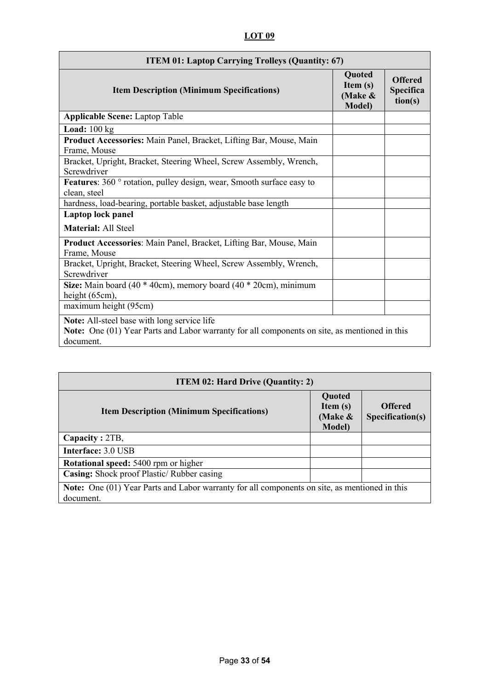# **LOT 09**

| <b>ITEM 01: Laptop Carrying Trolleys (Quantity: 67)</b>                                                                                                   |                                                        |                                        |
|-----------------------------------------------------------------------------------------------------------------------------------------------------------|--------------------------------------------------------|----------------------------------------|
| <b>Item Description (Minimum Specifications)</b>                                                                                                          | <b>Quoted</b><br>Item (s)<br>(Make &<br><b>Model</b> ) | <b>Offered</b><br>Specifica<br>tion(s) |
| <b>Applicable Scene: Laptop Table</b>                                                                                                                     |                                                        |                                        |
| <b>Load:</b> $100 \text{ kg}$                                                                                                                             |                                                        |                                        |
| Product Accessories: Main Panel, Bracket, Lifting Bar, Mouse, Main<br>Frame, Mouse                                                                        |                                                        |                                        |
| Bracket, Upright, Bracket, Steering Wheel, Screw Assembly, Wrench,<br>Screwdriver                                                                         |                                                        |                                        |
| Features: 360 ° rotation, pulley design, wear, Smooth surface easy to<br>clean, steel                                                                     |                                                        |                                        |
| hardness, load-bearing, portable basket, adjustable base length                                                                                           |                                                        |                                        |
| Laptop lock panel                                                                                                                                         |                                                        |                                        |
| <b>Material: All Steel</b>                                                                                                                                |                                                        |                                        |
| Product Accessories: Main Panel, Bracket, Lifting Bar, Mouse, Main<br>Frame, Mouse                                                                        |                                                        |                                        |
| Bracket, Upright, Bracket, Steering Wheel, Screw Assembly, Wrench,<br>Screwdriver                                                                         |                                                        |                                        |
| Size: Main board (40 * 40cm), memory board (40 * 20cm), minimum<br>height (65cm),                                                                         |                                                        |                                        |
| maximum height (95cm)                                                                                                                                     |                                                        |                                        |
| Note: All-steel base with long service life<br>Note: One (01) Year Parts and Labor warranty for all components on site, as mentioned in this<br>document. |                                                        |                                        |

| <b>ITEM 02: Hard Drive (Quantity: 2)</b>                                                                          |                                                      |                                    |  |  |
|-------------------------------------------------------------------------------------------------------------------|------------------------------------------------------|------------------------------------|--|--|
| <b>Item Description (Minimum Specifications)</b>                                                                  | Quoted<br>Item $(s)$<br>(Make $\&$<br><b>Model</b> ) | <b>Offered</b><br>Specification(s) |  |  |
| Capacity: 2TB,                                                                                                    |                                                      |                                    |  |  |
| Interface: 3.0 USB                                                                                                |                                                      |                                    |  |  |
| <b>Rotational speed: 5400 rpm or higher</b>                                                                       |                                                      |                                    |  |  |
| Casing: Shock proof Plastic/ Rubber casing                                                                        |                                                      |                                    |  |  |
| <b>Note:</b> One (01) Year Parts and Labor warranty for all components on site, as mentioned in this<br>document. |                                                      |                                    |  |  |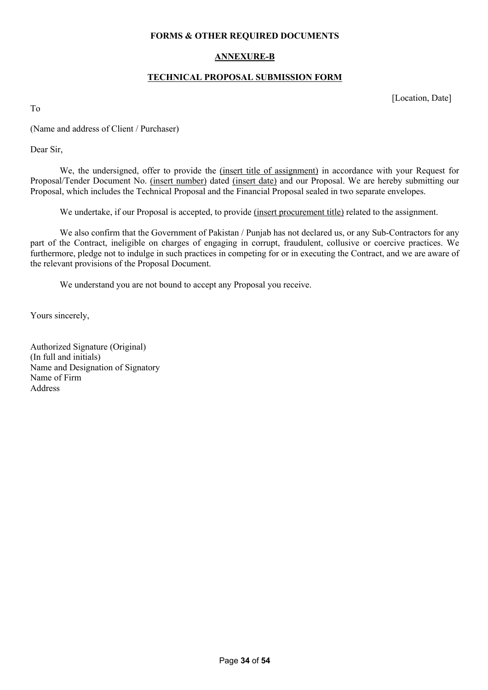#### **FORMS & OTHER REQUIRED DOCUMENTS**

### **ANNEXURE-B**

#### **TECHNICAL PROPOSAL SUBMISSION FORM**

[Location, Date]

To

(Name and address of Client / Purchaser)

Dear Sir,

We, the undersigned, offer to provide the (insert title of assignment) in accordance with your Request for Proposal/Tender Document No. (insert number) dated (insert date) and our Proposal. We are hereby submitting our Proposal, which includes the Technical Proposal and the Financial Proposal sealed in two separate envelopes.

We undertake, if our Proposal is accepted, to provide (insert procurement title) related to the assignment.

We also confirm that the Government of Pakistan / Punjab has not declared us, or any Sub-Contractors for any part of the Contract, ineligible on charges of engaging in corrupt, fraudulent, collusive or coercive practices. We furthermore, pledge not to indulge in such practices in competing for or in executing the Contract, and we are aware of the relevant provisions of the Proposal Document.

We understand you are not bound to accept any Proposal you receive.

Yours sincerely,

Authorized Signature (Original) (In full and initials) Name and Designation of Signatory Name of Firm Address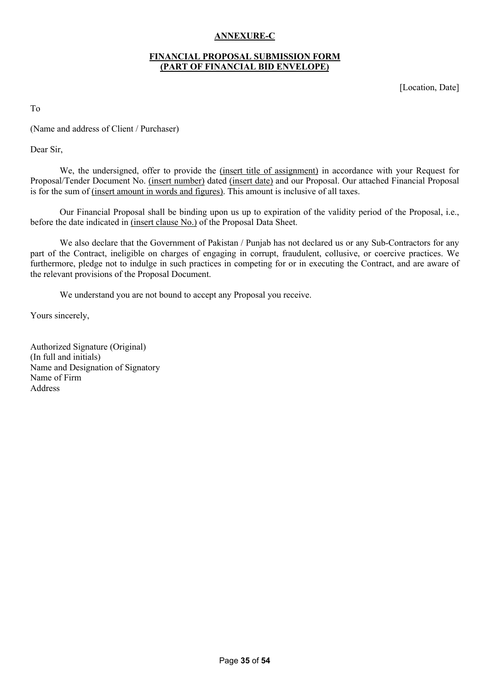## **ANNEXURE-C**

#### **FINANCIAL PROPOSAL SUBMISSION FORM (PART OF FINANCIAL BID ENVELOPE)**

[Location, Date]

To

(Name and address of Client / Purchaser)

Dear Sir,

We, the undersigned, offer to provide the (insert title of assignment) in accordance with your Request for Proposal/Tender Document No. (insert number) dated (insert date) and our Proposal. Our attached Financial Proposal is for the sum of (insert amount in words and figures). This amount is inclusive of all taxes.

Our Financial Proposal shall be binding upon us up to expiration of the validity period of the Proposal, i.e., before the date indicated in (insert clause No.) of the Proposal Data Sheet.

We also declare that the Government of Pakistan / Punjab has not declared us or any Sub-Contractors for any part of the Contract, ineligible on charges of engaging in corrupt, fraudulent, collusive, or coercive practices. We furthermore, pledge not to indulge in such practices in competing for or in executing the Contract, and are aware of the relevant provisions of the Proposal Document.

We understand you are not bound to accept any Proposal you receive.

Yours sincerely,

Authorized Signature (Original) (In full and initials) Name and Designation of Signatory Name of Firm Address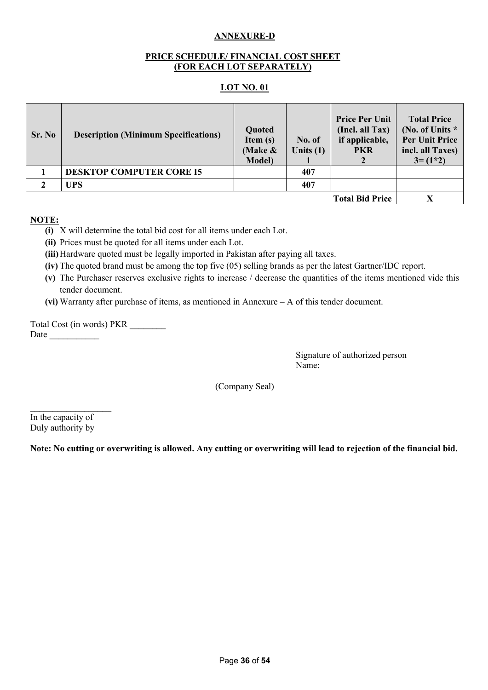## **ANNEXURE-D**

#### **PRICE SCHEDULE/ FINANCIAL COST SHEET (FOR EACH LOT SEPARATELY)**

#### **LOT NO. 01**

| Sr. No                 | <b>Description (Minimum Specifications)</b> | Quoted<br>Item $(s)$<br>(Make $\&$<br><b>Model</b> ) | No. of<br>Units $(1)$ | <b>Price Per Unit</b><br>(Incl. all Tax)<br>if applicable,<br><b>PKR</b> | <b>Total Price</b><br>(No. of Units *<br><b>Per Unit Price</b><br>incl. all Taxes)<br>$3 = (1*2)$ |
|------------------------|---------------------------------------------|------------------------------------------------------|-----------------------|--------------------------------------------------------------------------|---------------------------------------------------------------------------------------------------|
|                        | <b>DESKTOP COMPUTER CORE I5</b>             |                                                      | 407                   |                                                                          |                                                                                                   |
|                        | <b>UPS</b>                                  |                                                      | 407                   |                                                                          |                                                                                                   |
| <b>Total Bid Price</b> |                                             |                                                      |                       |                                                                          |                                                                                                   |

### **NOTE:**

- **(i)** X will determine the total bid cost for all items under each Lot.
- **(ii)** Prices must be quoted for all items under each Lot.
- **(iii)**Hardware quoted must be legally imported in Pakistan after paying all taxes.
- **(iv)** The quoted brand must be among the top five (05) selling brands as per the latest Gartner/IDC report.
- **(v)** The Purchaser reserves exclusive rights to increase / decrease the quantities of the items mentioned vide this tender document.
- **(vi)** Warranty after purchase of items, as mentioned in Annexure A of this tender document.

Total Cost (in words) PKR \_\_\_\_\_\_\_\_ Date  $\Box$ 

> Signature of authorized person Name:

(Company Seal)

 $\overline{\phantom{a}}$  , where  $\overline{\phantom{a}}$ In the capacity of Duly authority by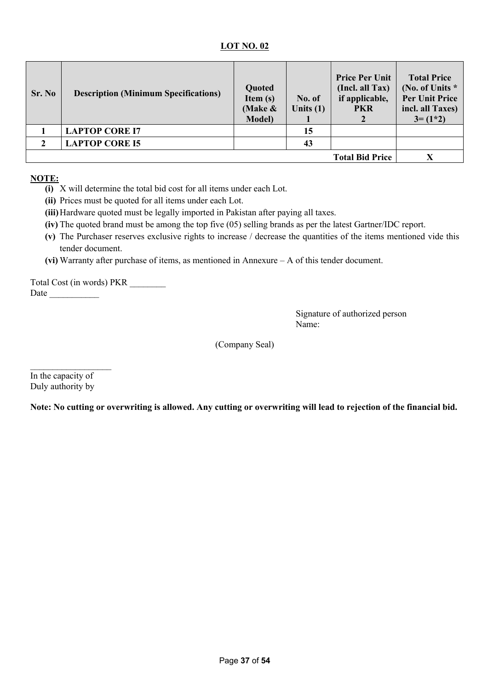| Sr. No | <b>Description (Minimum Specifications)</b> | Quoted<br>Item $(s)$<br>(Make $\&$<br><b>Model</b> ) | No. of<br>Units $(1)$ | <b>Price Per Unit</b><br>(Incl. all Tax)<br>if applicable,<br><b>PKR</b> | <b>Total Price</b><br>(No. of Units *<br><b>Per Unit Price</b><br>incl. all Taxes)<br>$3 = (1*2)$ |
|--------|---------------------------------------------|------------------------------------------------------|-----------------------|--------------------------------------------------------------------------|---------------------------------------------------------------------------------------------------|
|        | <b>LAPTOP CORE I7</b>                       |                                                      | 15                    |                                                                          |                                                                                                   |
|        | <b>LAPTOP CORE I5</b>                       |                                                      | 43                    |                                                                          |                                                                                                   |
|        |                                             |                                                      |                       | <b>Total Bid Price</b>                                                   |                                                                                                   |

## **NOTE:**

- **(i)** X will determine the total bid cost for all items under each Lot.
- **(ii)** Prices must be quoted for all items under each Lot.
- **(iii)**Hardware quoted must be legally imported in Pakistan after paying all taxes.
- **(iv)** The quoted brand must be among the top five (05) selling brands as per the latest Gartner/IDC report.
- **(v)** The Purchaser reserves exclusive rights to increase / decrease the quantities of the items mentioned vide this tender document.
- **(vi)** Warranty after purchase of items, as mentioned in Annexure A of this tender document.

Total Cost (in words) PKR \_\_\_\_\_\_\_\_ Date  $\Box$ 

> Signature of authorized person Name:

(Company Seal)

In the capacity of Duly authority by

 $\overline{\phantom{a}}$  , where  $\overline{\phantom{a}}$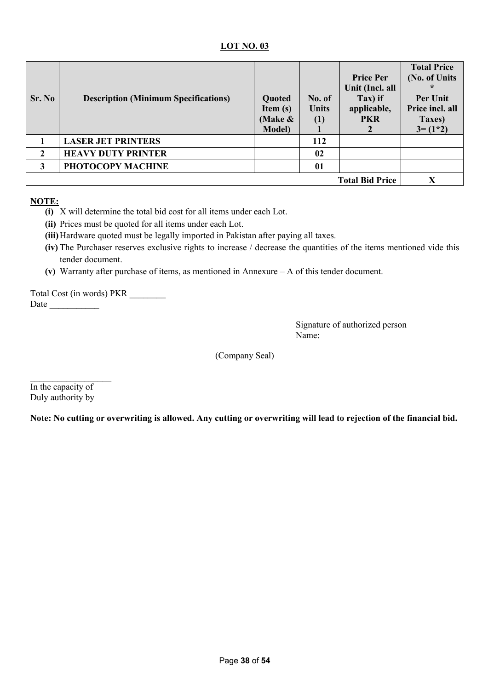| Sr. No                 | <b>Description (Minimum Specifications)</b> | Quoted<br>Item $(s)$<br>(Make $\&$<br><b>Model</b> ) | No. of<br><b>Units</b><br>(1) | <b>Price Per</b><br>Unit (Incl. all<br>Tax) if<br>applicable,<br><b>PKR</b> | <b>Total Price</b><br>(No. of Units<br>$\ast$<br>Per Unit<br>Price incl. all<br>Taxes)<br>$3 = (1*2)$ |
|------------------------|---------------------------------------------|------------------------------------------------------|-------------------------------|-----------------------------------------------------------------------------|-------------------------------------------------------------------------------------------------------|
|                        | <b>LASER JET PRINTERS</b>                   |                                                      | 112                           |                                                                             |                                                                                                       |
| $\mathbf{2}$           | <b>HEAVY DUTY PRINTER</b>                   |                                                      | 02                            |                                                                             |                                                                                                       |
| 3                      | PHOTOCOPY MACHINE                           |                                                      | 01                            |                                                                             |                                                                                                       |
| <b>Total Bid Price</b> |                                             |                                                      |                               |                                                                             | X                                                                                                     |

## **NOTE:**

- **(i)** X will determine the total bid cost for all items under each Lot.
- **(ii)** Prices must be quoted for all items under each Lot.
- **(iii)**Hardware quoted must be legally imported in Pakistan after paying all taxes.
- **(iv)** The Purchaser reserves exclusive rights to increase / decrease the quantities of the items mentioned vide this tender document.
- **(v)** Warranty after purchase of items, as mentioned in Annexure A of this tender document.

Total Cost (in words) PKR \_\_\_\_\_\_\_\_ Date  $\Box$ 

> Signature of authorized person Name:

(Company Seal)

 $\mathcal{L}_\text{max}$ In the capacity of Duly authority by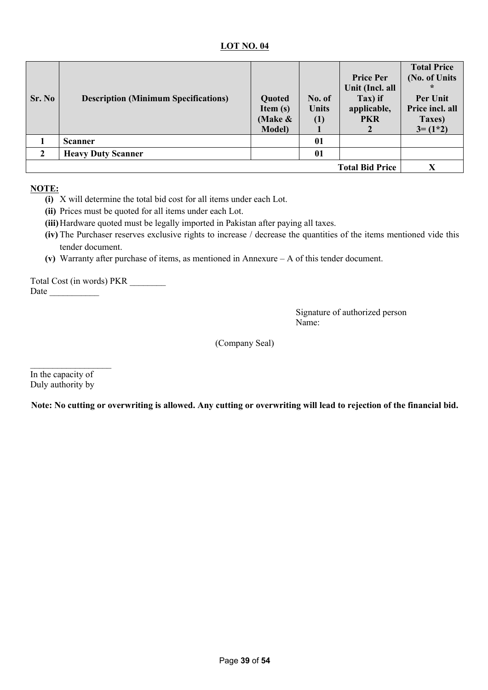| Sr. No | <b>Description (Minimum Specifications)</b> | Quoted<br>Item $(s)$<br>(Make $\&$<br><b>Model</b> ) | No. of<br><b>Units</b><br>(1) | <b>Price Per</b><br>Unit (Incl. all<br>Tax) if<br>applicable,<br><b>PKR</b> | <b>Total Price</b><br>(No. of Units<br>$\ast$<br>Per Unit<br>Price incl. all<br>Taxes)<br>$3 = (1*2)$ |
|--------|---------------------------------------------|------------------------------------------------------|-------------------------------|-----------------------------------------------------------------------------|-------------------------------------------------------------------------------------------------------|
|        | <b>Scanner</b>                              |                                                      | 01                            |                                                                             |                                                                                                       |
|        | <b>Heavy Duty Scanner</b>                   |                                                      | 01                            |                                                                             |                                                                                                       |
|        |                                             |                                                      |                               | <b>Total Bid Price</b>                                                      | X                                                                                                     |

## **NOTE:**

- **(i)** X will determine the total bid cost for all items under each Lot.
- **(ii)** Prices must be quoted for all items under each Lot.
- **(iii)**Hardware quoted must be legally imported in Pakistan after paying all taxes.
- **(iv)** The Purchaser reserves exclusive rights to increase / decrease the quantities of the items mentioned vide this tender document.
- **(v)** Warranty after purchase of items, as mentioned in Annexure A of this tender document.

Total Cost (in words) PKR \_\_\_\_\_\_\_\_ Date  $\Box$ 

> Signature of authorized person Name:

(Company Seal)

 $\mathcal{L}_\text{max}$ In the capacity of Duly authority by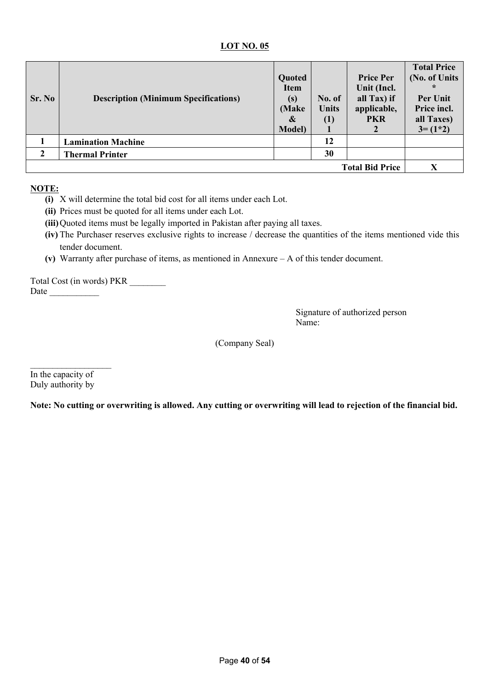| Sr. No | <b>Description (Minimum Specifications)</b> | Quoted<br><b>Item</b><br>(s)<br>(Make<br>&<br><b>Model</b> ) | No. of<br><b>Units</b><br>(1) | <b>Price Per</b><br>Unit (Incl.<br>all Tax) if<br>applicable,<br><b>PKR</b> | <b>Total Price</b><br>(No. of Units<br>∗<br>Per Unit<br>Price incl.<br>all Taxes)<br>$3 = (1*2)$ |
|--------|---------------------------------------------|--------------------------------------------------------------|-------------------------------|-----------------------------------------------------------------------------|--------------------------------------------------------------------------------------------------|
|        | <b>Lamination Machine</b>                   |                                                              | 12                            |                                                                             |                                                                                                  |
|        | <b>Thermal Printer</b>                      |                                                              | 30                            |                                                                             |                                                                                                  |
|        |                                             |                                                              |                               | <b>Total Bid Price</b>                                                      | X                                                                                                |

## **NOTE:**

- **(i)** X will determine the total bid cost for all items under each Lot.
- **(ii)** Prices must be quoted for all items under each Lot.
- **(iii)**Quoted items must be legally imported in Pakistan after paying all taxes.
- **(iv)** The Purchaser reserves exclusive rights to increase / decrease the quantities of the items mentioned vide this tender document.
- **(v)** Warranty after purchase of items, as mentioned in Annexure A of this tender document.

Total Cost (in words) PKR \_\_\_\_\_\_\_\_ Date  $\Box$ 

> Signature of authorized person Name:

(Company Seal)

 $\mathcal{L}_\text{max}$ In the capacity of Duly authority by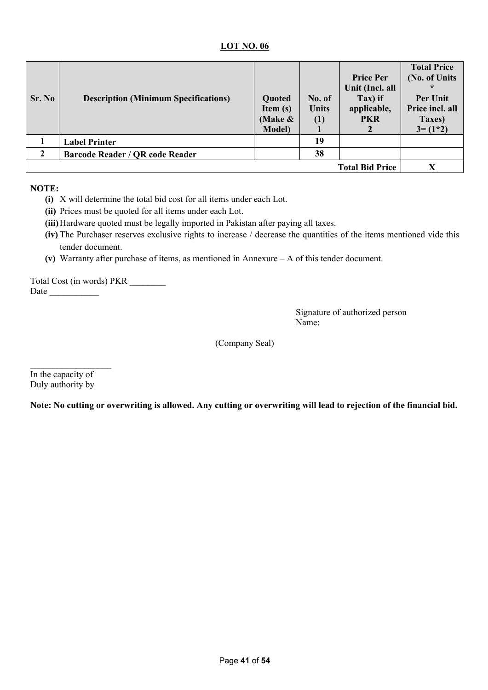| Sr. No       | <b>Description (Minimum Specifications)</b> | Quoted<br>Item $(s)$<br>(Make $\&$<br><b>Model</b> ) | No. of<br><b>Units</b><br>(1) | <b>Price Per</b><br>Unit (Incl. all<br>Tax) if<br>applicable,<br><b>PKR</b> | <b>Total Price</b><br>(No. of Units<br>$\ast$<br>Per Unit<br>Price incl. all<br>Taxes)<br>$3 = (1*2)$ |
|--------------|---------------------------------------------|------------------------------------------------------|-------------------------------|-----------------------------------------------------------------------------|-------------------------------------------------------------------------------------------------------|
|              | <b>Label Printer</b>                        |                                                      | 19                            |                                                                             |                                                                                                       |
| $\mathbf{2}$ | <b>Barcode Reader / QR code Reader</b>      |                                                      | 38                            |                                                                             |                                                                                                       |
|              |                                             |                                                      |                               | <b>Total Bid Price</b>                                                      |                                                                                                       |

### **NOTE:**

- **(i)** X will determine the total bid cost for all items under each Lot.
- **(ii)** Prices must be quoted for all items under each Lot.
- **(iii)**Hardware quoted must be legally imported in Pakistan after paying all taxes.
- **(iv)** The Purchaser reserves exclusive rights to increase / decrease the quantities of the items mentioned vide this tender document.
- **(v)** Warranty after purchase of items, as mentioned in Annexure A of this tender document.

Total Cost (in words) PKR \_\_\_\_\_\_\_\_ Date  $\Box$ 

> Signature of authorized person Name:

(Company Seal)

 $\mathcal{L}_\text{max}$ In the capacity of Duly authority by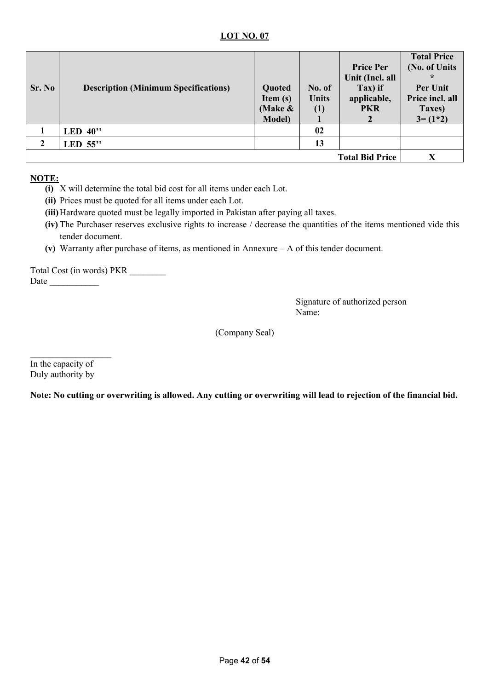| Sr. No | <b>Description (Minimum Specifications)</b> | Quoted<br>Item $(s)$<br>(Make $\&$<br><b>Model</b> ) | No. of<br><b>Units</b><br>(1) | <b>Price Per</b><br>Unit (Incl. all<br>Tax) if<br>applicable,<br><b>PKR</b> | <b>Total Price</b><br>(No. of Units<br>$\ast$<br>Per Unit<br>Price incl. all<br>Taxes)<br>$3 = (1*2)$ |
|--------|---------------------------------------------|------------------------------------------------------|-------------------------------|-----------------------------------------------------------------------------|-------------------------------------------------------------------------------------------------------|
|        | LED $40$ "                                  |                                                      | 02                            |                                                                             |                                                                                                       |
| 2      | LED $55$ "                                  |                                                      | 13                            |                                                                             |                                                                                                       |
|        |                                             |                                                      |                               | <b>Total Bid Price</b>                                                      | X                                                                                                     |

## **NOTE:**

- **(i)** X will determine the total bid cost for all items under each Lot.
- **(ii)** Prices must be quoted for all items under each Lot.
- **(iii)**Hardware quoted must be legally imported in Pakistan after paying all taxes.
- **(iv)** The Purchaser reserves exclusive rights to increase / decrease the quantities of the items mentioned vide this tender document.
- **(v)** Warranty after purchase of items, as mentioned in Annexure A of this tender document.

Total Cost (in words) PKR \_\_\_\_\_\_\_\_ Date  $\frac{1}{\sqrt{1-\frac{1}{2}}\cdot\frac{1}{\sqrt{1-\frac{1}{2}}}}$ 

> Signature of authorized person Name:

(Company Seal)

In the capacity of Duly authority by

 $\overline{\phantom{a}}$  , where  $\overline{\phantom{a}}$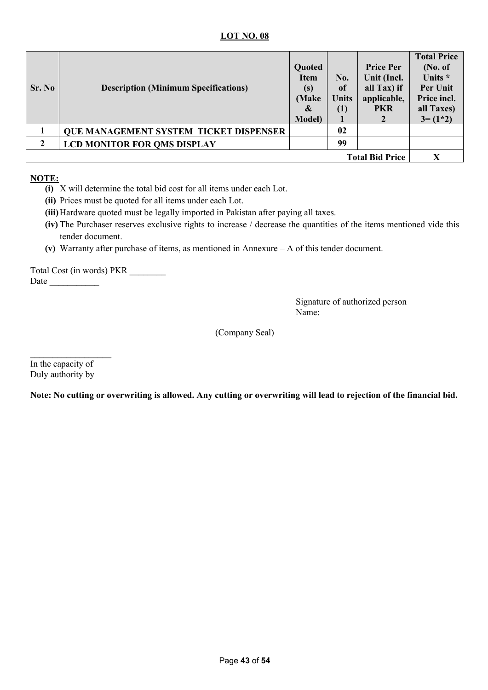| Sr. No                 | <b>Description (Minimum Specifications)</b>   | Quoted<br><b>Item</b><br>(s)<br>(Make<br>&<br><b>Model</b> ) | No.<br>of<br><b>Units</b><br>(1) | <b>Price Per</b><br>Unit (Incl.<br>all Tax) if<br>applicable,<br><b>PKR</b> | <b>Total Price</b><br>(No. of<br>Units *<br><b>Per Unit</b><br>Price incl.<br>all Taxes)<br>$3 = (1*2)$ |
|------------------------|-----------------------------------------------|--------------------------------------------------------------|----------------------------------|-----------------------------------------------------------------------------|---------------------------------------------------------------------------------------------------------|
|                        | <b>QUE MANAGEMENT SYSTEM TICKET DISPENSER</b> |                                                              | 02                               |                                                                             |                                                                                                         |
|                        | <b>LCD MONITOR FOR QMS DISPLAY</b>            |                                                              | 99                               |                                                                             |                                                                                                         |
| <b>Total Bid Price</b> |                                               |                                                              | X                                |                                                                             |                                                                                                         |

## **NOTE:**

- **(i)** X will determine the total bid cost for all items under each Lot.
- **(ii)** Prices must be quoted for all items under each Lot.
- **(iii)**Hardware quoted must be legally imported in Pakistan after paying all taxes.
- **(iv)** The Purchaser reserves exclusive rights to increase / decrease the quantities of the items mentioned vide this tender document.
- **(v)** Warranty after purchase of items, as mentioned in Annexure A of this tender document.

Total Cost (in words) PKR \_\_\_\_\_\_\_\_ Date  $\frac{1}{\sqrt{1-\frac{1}{2}}\cdot\frac{1}{\sqrt{1-\frac{1}{2}}}}$ 

> Signature of authorized person Name:

(Company Seal)

In the capacity of Duly authority by

 $\overline{\phantom{a}}$  , where  $\overline{\phantom{a}}$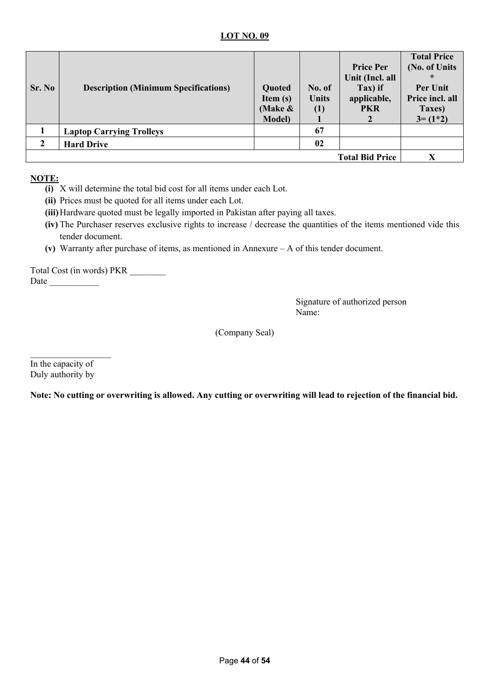| Sr. No | <b>Description (Minimum Specifications)</b> | Quoted<br>Item $(s)$<br>(Make $\&$<br><b>Model</b> ) | No. of<br><b>Units</b><br>(1) | <b>Price Per</b><br>Unit (Incl. all<br>Tax) if<br>applicable,<br><b>PKR</b> | <b>Total Price</b><br>(No. of Units<br>$\ast$<br>Per Unit<br>Price incl. all<br>Taxes)<br>$3 = (1*2)$ |
|--------|---------------------------------------------|------------------------------------------------------|-------------------------------|-----------------------------------------------------------------------------|-------------------------------------------------------------------------------------------------------|
|        | <b>Laptop Carrying Trolleys</b>             |                                                      | 67                            |                                                                             |                                                                                                       |
|        | <b>Hard Drive</b>                           |                                                      | 02                            |                                                                             |                                                                                                       |
|        |                                             |                                                      |                               | <b>Total Bid Price</b>                                                      | X                                                                                                     |

## **NOTE:**

- **(i)** X will determine the total bid cost for all items under each Lot.
- **(ii)** Prices must be quoted for all items under each Lot.
- **(iii)**Hardware quoted must be legally imported in Pakistan after paying all taxes.
- **(iv)** The Purchaser reserves exclusive rights to increase / decrease the quantities of the items mentioned vide this tender document.
- **(v)** Warranty after purchase of items, as mentioned in Annexure A of this tender document.

Total Cost (in words) PKR \_\_\_\_\_\_\_\_ Date  $\frac{1}{\sqrt{1-\frac{1}{2}}\cdot\frac{1}{\sqrt{1-\frac{1}{2}}}}$ 

> Signature of authorized person Name:

(Company Seal)

In the capacity of Duly authority by

 $\overline{\phantom{a}}$  , where  $\overline{\phantom{a}}$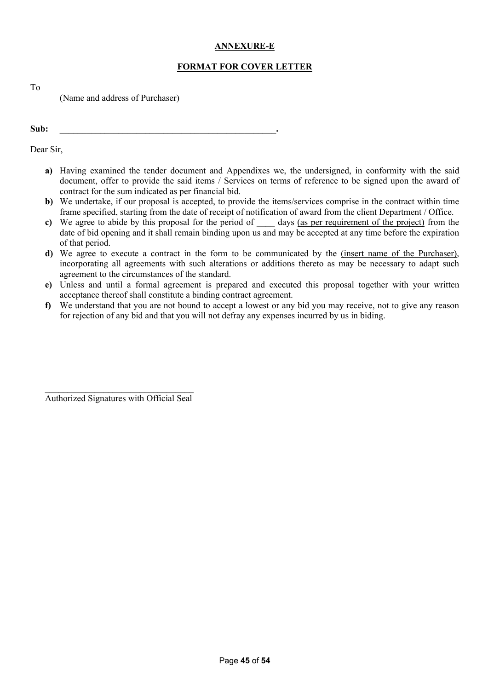## **ANNEXURE-E**

## **FORMAT FOR COVER LETTER**

To

(Name and address of Purchaser)

**Sub: \_\_\_\_\_\_\_\_\_\_\_\_\_\_\_\_\_\_\_\_\_\_\_\_\_\_\_\_\_\_\_\_\_\_\_\_\_\_\_\_\_\_\_\_\_\_\_\_.** 

Dear Sir,

- **a)** Having examined the tender document and Appendixes we, the undersigned, in conformity with the said document, offer to provide the said items / Services on terms of reference to be signed upon the award of contract for the sum indicated as per financial bid.
- **b)** We undertake, if our proposal is accepted, to provide the items/services comprise in the contract within time frame specified, starting from the date of receipt of notification of award from the client Department / Office.
- **c)** We agree to abide by this proposal for the period of \_\_\_\_ days (as per requirement of the project) from the date of bid opening and it shall remain binding upon us and may be accepted at any time before the expiration of that period.
- **d)** We agree to execute a contract in the form to be communicated by the (insert name of the Purchaser), incorporating all agreements with such alterations or additions thereto as may be necessary to adapt such agreement to the circumstances of the standard.
- **e)** Unless and until a formal agreement is prepared and executed this proposal together with your written acceptance thereof shall constitute a binding contract agreement.
- **f)** We understand that you are not bound to accept a lowest or any bid you may receive, not to give any reason for rejection of any bid and that you will not defray any expenses incurred by us in biding.

\_\_\_\_\_\_\_\_\_\_\_\_\_\_\_\_\_\_\_\_\_\_\_\_\_\_\_\_\_\_\_\_\_ Authorized Signatures with Official Seal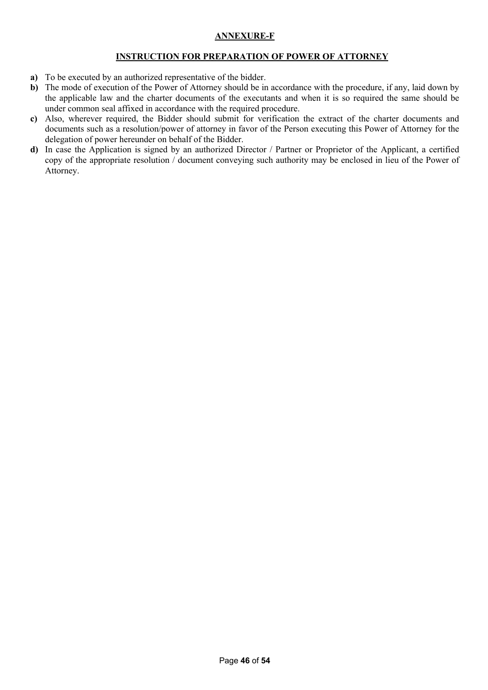## **ANNEXURE-F**

### **INSTRUCTION FOR PREPARATION OF POWER OF ATTORNEY**

- **a)** To be executed by an authorized representative of the bidder.
- **b**) The mode of execution of the Power of Attorney should be in accordance with the procedure, if any, laid down by the applicable law and the charter documents of the executants and when it is so required the same should be under common seal affixed in accordance with the required procedure.
- **c)** Also, wherever required, the Bidder should submit for verification the extract of the charter documents and documents such as a resolution/power of attorney in favor of the Person executing this Power of Attorney for the delegation of power hereunder on behalf of the Bidder.
- **d)** In case the Application is signed by an authorized Director / Partner or Proprietor of the Applicant, a certified copy of the appropriate resolution / document conveying such authority may be enclosed in lieu of the Power of Attorney.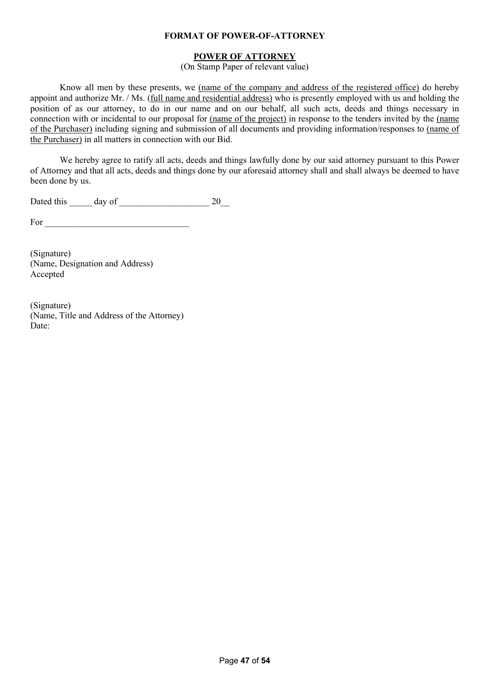#### **FORMAT OF POWER-OF-ATTORNEY**

### **POWER OF ATTORNEY**

(On Stamp Paper of relevant value)

Know all men by these presents, we (name of the company and address of the registered office) do hereby appoint and authorize Mr. / Ms. (full name and residential address) who is presently employed with us and holding the position of as our attorney, to do in our name and on our behalf, all such acts, deeds and things necessary in connection with or incidental to our proposal for (name of the project) in response to the tenders invited by the (name of the Purchaser) including signing and submission of all documents and providing information/responses to (name of the Purchaser) in all matters in connection with our Bid.

We hereby agree to ratify all acts, deeds and things lawfully done by our said attorney pursuant to this Power of Attorney and that all acts, deeds and things done by our aforesaid attorney shall and shall always be deemed to have been done by us.

Dated this \_\_\_\_\_ day of \_\_\_\_\_\_\_\_\_\_\_\_\_\_\_\_\_\_\_\_ 20\_\_

For \_\_\_\_\_\_\_\_\_\_\_\_\_\_\_\_\_\_\_\_\_\_\_\_\_\_\_\_\_\_\_\_

(Signature) (Name, Designation and Address) Accepted

(Signature) (Name, Title and Address of the Attorney) Date: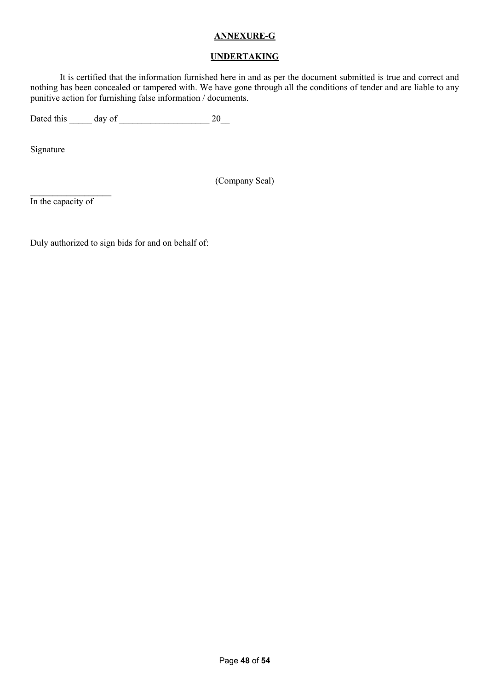### **ANNEXURE-G**

#### **UNDERTAKING**

It is certified that the information furnished here in and as per the document submitted is true and correct and nothing has been concealed or tampered with. We have gone through all the conditions of tender and are liable to any punitive action for furnishing false information / documents.

Dated this  $\frac{1}{20}$  day of  $\frac{20}{20}$ 

Signature

(Company Seal)

In the capacity of

 $\mathcal{L}_\text{max}$ 

Duly authorized to sign bids for and on behalf of: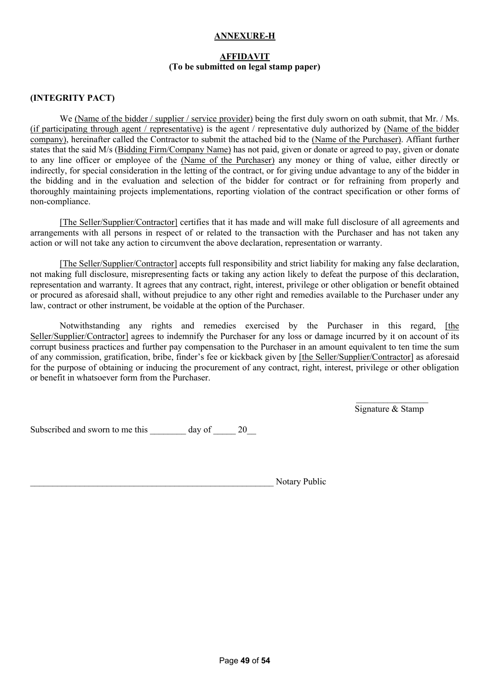### **ANNEXURE-H**

### **AFFIDAVIT (To be submitted on legal stamp paper)**

#### **(INTEGRITY PACT)**

We (Name of the bidder / supplier / service provider) being the first duly sworn on oath submit, that Mr. / Ms. (if participating through agent / representative) is the agent / representative duly authorized by (Name of the bidder company), hereinafter called the Contractor to submit the attached bid to the (Name of the Purchaser). Affiant further states that the said M/s (Bidding Firm/Company Name) has not paid, given or donate or agreed to pay, given or donate to any line officer or employee of the (Name of the Purchaser) any money or thing of value, either directly or indirectly, for special consideration in the letting of the contract, or for giving undue advantage to any of the bidder in the bidding and in the evaluation and selection of the bidder for contract or for refraining from properly and thoroughly maintaining projects implementations, reporting violation of the contract specification or other forms of non-compliance.

[The Seller/Supplier/Contractor] certifies that it has made and will make full disclosure of all agreements and arrangements with all persons in respect of or related to the transaction with the Purchaser and has not taken any action or will not take any action to circumvent the above declaration, representation or warranty.

[The Seller/Supplier/Contractor] accepts full responsibility and strict liability for making any false declaration, not making full disclosure, misrepresenting facts or taking any action likely to defeat the purpose of this declaration, representation and warranty. It agrees that any contract, right, interest, privilege or other obligation or benefit obtained or procured as aforesaid shall, without prejudice to any other right and remedies available to the Purchaser under any law, contract or other instrument, be voidable at the option of the Purchaser.

Notwithstanding any rights and remedies exercised by the Purchaser in this regard, [the Seller/Supplier/Contractor] agrees to indemnify the Purchaser for any loss or damage incurred by it on account of its corrupt business practices and further pay compensation to the Purchaser in an amount equivalent to ten time the sum of any commission, gratification, bribe, finder's fee or kickback given by [the Seller/Supplier/Contractor] as aforesaid for the purpose of obtaining or inducing the procurement of any contract, right, interest, privilege or other obligation or benefit in whatsoever form from the Purchaser.

> $\mathcal{L}_\text{max}$ Signature & Stamp

Subscribed and sworn to me this \_\_\_\_\_\_\_\_ day of  $20$ 

Notary Public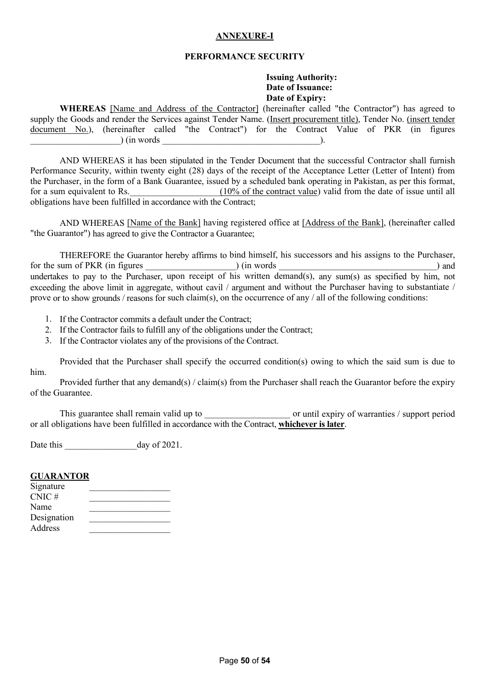## **ANNEXURE-I**

#### **PERFORMANCE SECURITY**

#### **Issuing Authority: Date of Issuance: Date of Expiry:**

**WHEREAS** [Name and Address of the Contractor] (hereinafter called "the Contractor") has agreed to supply the Goods and render the Services against Tender Name. (Insert procurement title), Tender No. (insert tender document No.), (hereinafter called "the Contract") for the Contract Value of PKR (in figures  $\lim_{t \to \infty}$  (in words  $\lim_{t \to \infty}$ ).

AND WHEREAS it has been stipulated in the Tender Document that the successful Contractor shall furnish Performance Security, within twenty eight (28) days of the receipt of the Acceptance Letter (Letter of Intent) from the Purchaser, in the form of a Bank Guarantee, issued by a scheduled bank operating in Pakistan, as per this format, for a sum equivalent to Rs.  $(10\% \text{ of the contract value})$  valid from the date of issue until all obligations have been fulfilled in accordance with the Contract;

AND WHEREAS [Name of the Bank] having registered office at [Address of the Bank], (hereinafter called "the Guarantor") has agreed to give the Contractor a Guarantee;

THEREFORE the Guarantor hereby affirms to bind himself, his successors and his assigns to the Purchaser, for the sum of PKR (in figures ) (in words ) and undertakes to pay to the Purchaser, upon receipt of his written demand(s), any sum(s) as specified by him, not exceeding the above limit in aggregate, without cavil / argument and without the Purchaser having to substantiate / prove or to show grounds / reasons for such claim(s), on the occurrence of any / all of the following conditions:

- 1. If the Contractor commits a default under the Contract;
- 2. If the Contractor fails to fulfill any of the obligations under the Contract;
- 3. If the Contractor violates any of the provisions of the Contract.

Provided that the Purchaser shall specify the occurred condition(s) owing to which the said sum is due to him.

Provided further that any demand(s) / claim(s) from the Purchaser shall reach the Guarantor before the expiry of the Guarantee.

This guarantee shall remain valid up to  $\qquad \qquad$  or until expiry of warranties / support period or all obligations have been fulfilled in accordance with the Contract, **whichever is later**.

Date this day of 2021.

#### **GUARANTOR**

| Signature   |  |
|-------------|--|
| $CNIC$ #    |  |
| Name        |  |
| Designation |  |
| Address     |  |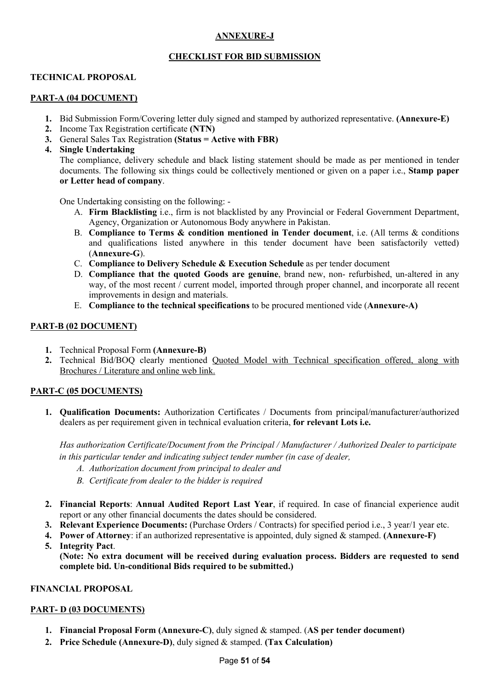## **ANNEXURE-J**

## **CHECKLIST FOR BID SUBMISSION**

### **TECHNICAL PROPOSAL**

#### **PART-A (04 DOCUMENT)**

- **1.** Bid Submission Form/Covering letter duly signed and stamped by authorized representative. **(Annexure-E)**
- **2.** Income Tax Registration certificate **(NTN)**
- **3.** General Sales Tax Registration **(Status = Active with FBR)**
- **4. Single Undertaking**

The compliance, delivery schedule and black listing statement should be made as per mentioned in tender documents. The following six things could be collectively mentioned or given on a paper i.e., **Stamp paper or Letter head of company**.

One Undertaking consisting on the following: -

- A. **Firm Blacklisting** i.e., firm is not blacklisted by any Provincial or Federal Government Department, Agency, Organization or Autonomous Body anywhere in Pakistan.
- B. **Compliance to Terms & condition mentioned in Tender document**, i.e. (All terms & conditions and qualifications listed anywhere in this tender document have been satisfactorily vetted) (**Annexure-G**).
- C. **Compliance to Delivery Schedule & Execution Schedule** as per tender document
- D. **Compliance that the quoted Goods are genuine**, brand new, non- refurbished, un-altered in any way, of the most recent / current model, imported through proper channel, and incorporate all recent improvements in design and materials.
- E. **Compliance to the technical specifications** to be procured mentioned vide (**Annexure-A)**

### **PART-B (02 DOCUMENT)**

- **1.** Technical Proposal Form **(Annexure-B)**
- **2.** Technical Bid/BOQ clearly mentioned Quoted Model with Technical specification offered, along with Brochures / Literature and online web link.

## **PART-C (05 DOCUMENTS)**

**1. Qualification Documents:** Authorization Certificates / Documents from principal/manufacturer/authorized dealers as per requirement given in technical evaluation criteria, **for relevant Lots i.e.**

*Has authorization Certificate/Document from the Principal / Manufacturer / Authorized Dealer to participate in this particular tender and indicating subject tender number (in case of dealer,*

- *A. Authorization document from principal to dealer and*
- *B. Certificate from dealer to the bidder is required*
- **2. Financial Reports**: **Annual Audited Report Last Year**, if required. In case of financial experience audit report or any other financial documents the dates should be considered.
- **3. Relevant Experience Documents:** (Purchase Orders / Contracts) for specified period i.e., 3 year/1 year etc.
- **4. Power of Attorney**: if an authorized representative is appointed, duly signed & stamped. **(Annexure-F)**
- **5. Integrity Pact**.

**(Note: No extra document will be received during evaluation process. Bidders are requested to send complete bid. Un-conditional Bids required to be submitted.)**

#### **FINANCIAL PROPOSAL**

## **PART- D (03 DOCUMENTS)**

- **1. Financial Proposal Form (Annexure-C)**, duly signed & stamped. (**AS per tender document)**
- **2. Price Schedule (Annexure-D)**, duly signed & stamped. **(Tax Calculation)**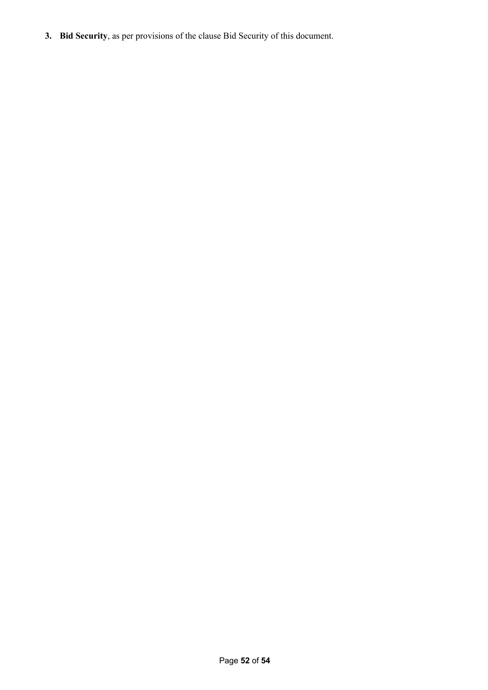**3. Bid Security**, as per provisions of the clause Bid Security of this document.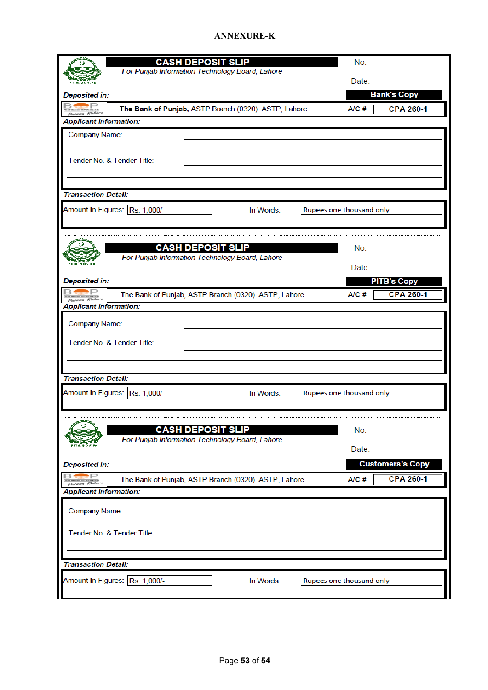## **ANNEXURE-K**

|                                                              | <b>CASH DEPOSIT SLIP</b>                                                    | No.          |                         |
|--------------------------------------------------------------|-----------------------------------------------------------------------------|--------------|-------------------------|
|                                                              | For Punjab Information Technology Board, Lahore                             | Date:        |                         |
| Deposited in:                                                |                                                                             |              | <b>Bank's Copy</b>      |
| Passion Robert                                               | The Bank of Punjab, ASTP Branch (0320) ASTP, Lahore.                        | A/C#         | <b>CPA 260-1</b>        |
| <b>Applicant Information:</b>                                |                                                                             |              |                         |
| Company Name:                                                |                                                                             |              |                         |
| Tender No. & Tender Title:                                   |                                                                             |              |                         |
| <b>Transaction Detail:</b>                                   |                                                                             |              |                         |
| Amount In Figures: Rs. 1,000/-                               | In Words:<br>Rupees one thousand only                                       |              |                         |
|                                                              |                                                                             |              |                         |
|                                                              | <b>CASH DEPOSIT SLIP</b>                                                    | No.          |                         |
|                                                              | For Punjab Information Technology Board, Lahore                             | Date:        |                         |
| Deposited in:                                                |                                                                             |              | <b>PITB's Copy</b>      |
| Passion Robert                                               | The Bank of Punjab, ASTP Branch (0320) ASTP, Lahore.                        | A/C#         | <b>CPA 260-1</b>        |
| <b>Applicant Information:</b>                                |                                                                             |              |                         |
| Company Name:<br>Tender No. & Tender Title:                  |                                                                             |              |                         |
| <b>Transaction Detail:</b><br>Amount In Figures: Rs. 1,000/- | In Words:<br>Rupees one thousand only                                       |              |                         |
|                                                              | <b>CASH DEPOSIT SLIP</b><br>For Punjab Information Technology Board, Lahore | No.<br>Date: |                         |
| Deposited in:                                                |                                                                             |              | <b>Customers's Copy</b> |
|                                                              | The Bank of Punjab, ASTP Branch (0320) ASTP, Lahore.                        | A/C#         | <b>CPA 260-1</b>        |
| <b>Applicant Information:</b>                                |                                                                             |              |                         |
| Company Name:<br>Tender No. & Tender Title:                  |                                                                             |              |                         |
| <b>Transaction Detail:</b>                                   |                                                                             |              |                         |
| Amount In Figures: Rs. 1,000/-                               | In Words:<br>Rupees one thousand only                                       |              |                         |